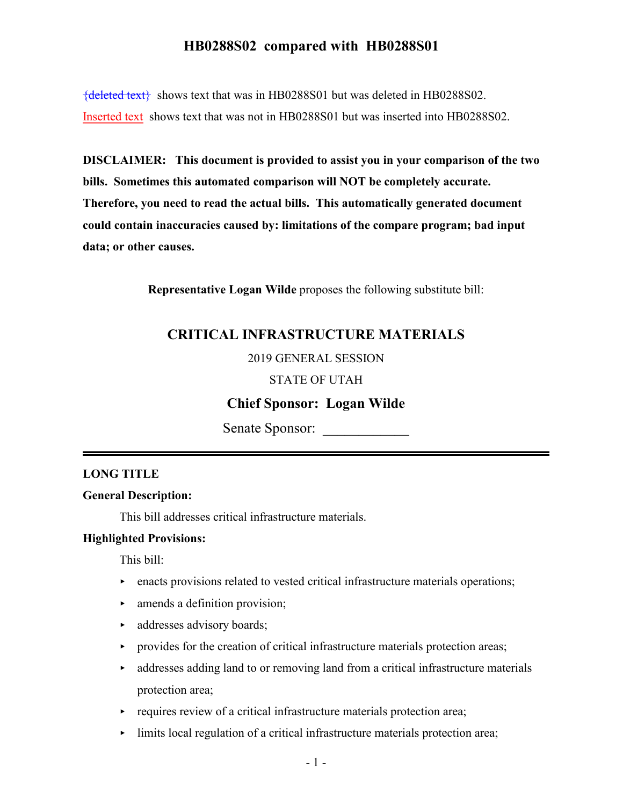${deleted text}$  shows text that was in HB0288S01 but was deleted in HB0288S02. Inserted text shows text that was not in HB0288S01 but was inserted into HB0288S02.

**DISCLAIMER: This document is provided to assist you in your comparison of the two bills. Sometimes this automated comparison will NOT be completely accurate. Therefore, you need to read the actual bills. This automatically generated document could contain inaccuracies caused by: limitations of the compare program; bad input data; or other causes.**

**Representative Logan Wilde** proposes the following substitute bill:

## **CRITICAL INFRASTRUCTURE MATERIALS**

#### 2019 GENERAL SESSION

#### STATE OF UTAH

### **Chief Sponsor: Logan Wilde**

Senate Sponsor:

#### **LONG TITLE**

#### **General Description:**

This bill addresses critical infrastructure materials.

#### **Highlighted Provisions:**

This bill:

- $\blacktriangleright$  enacts provisions related to vested critical infrastructure materials operations;
- $\blacktriangleright$  amends a definition provision;
- addresses advisory boards;
- $\rightarrow$  provides for the creation of critical infrastructure materials protection areas;
- $\rightarrow$  addresses adding land to or removing land from a critical infrastructure materials protection area;
- $\rightarrow$  requires review of a critical infrastructure materials protection area;
- limits local regulation of a critical infrastructure materials protection area;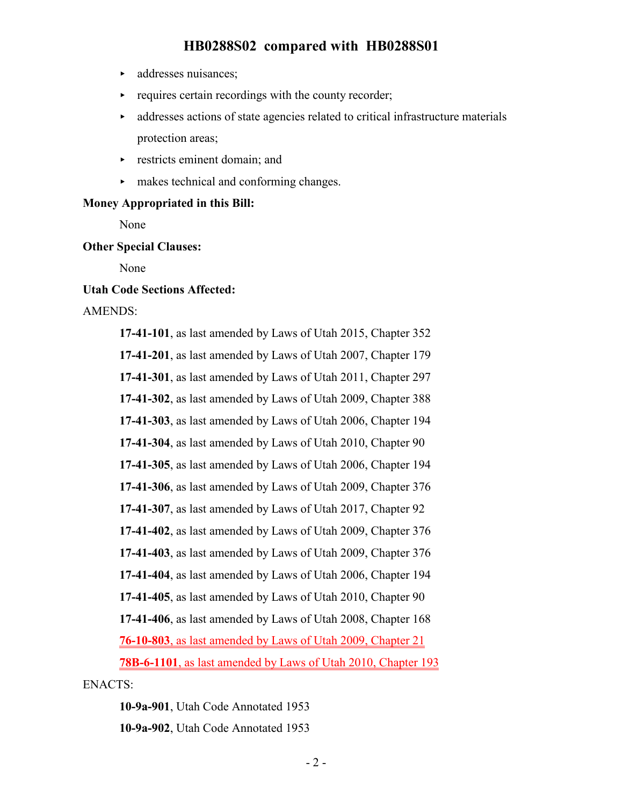- $\blacktriangleright$  addresses nuisances;
- requires certain recordings with the county recorder;
- < addresses actions of state agencies related to critical infrastructure materials protection areas;
- $\triangleright$  restricts eminent domain; and
- < makes technical and conforming changes.

#### **Money Appropriated in this Bill:**

None

#### **Other Special Clauses:**

None

#### **Utah Code Sections Affected:**

#### AMENDS:

**17-41-101**, as last amended by Laws of Utah 2015, Chapter 352 **17-41-201**, as last amended by Laws of Utah 2007, Chapter 179 **17-41-301**, as last amended by Laws of Utah 2011, Chapter 297 **17-41-302**, as last amended by Laws of Utah 2009, Chapter 388 **17-41-303**, as last amended by Laws of Utah 2006, Chapter 194 **17-41-304**, as last amended by Laws of Utah 2010, Chapter 90 **17-41-305**, as last amended by Laws of Utah 2006, Chapter 194 **17-41-306**, as last amended by Laws of Utah 2009, Chapter 376 **17-41-307**, as last amended by Laws of Utah 2017, Chapter 92 **17-41-402**, as last amended by Laws of Utah 2009, Chapter 376 **17-41-403**, as last amended by Laws of Utah 2009, Chapter 376 **17-41-404**, as last amended by Laws of Utah 2006, Chapter 194 **17-41-405**, as last amended by Laws of Utah 2010, Chapter 90 **17-41-406**, as last amended by Laws of Utah 2008, Chapter 168 **76-10-803**, as last amended by Laws of Utah 2009, Chapter 21 **78B-6-1101**, as last amended by Laws of Utah 2010, Chapter 193 ENACTS:

**10-9a-901**, Utah Code Annotated 1953

**10-9a-902**, Utah Code Annotated 1953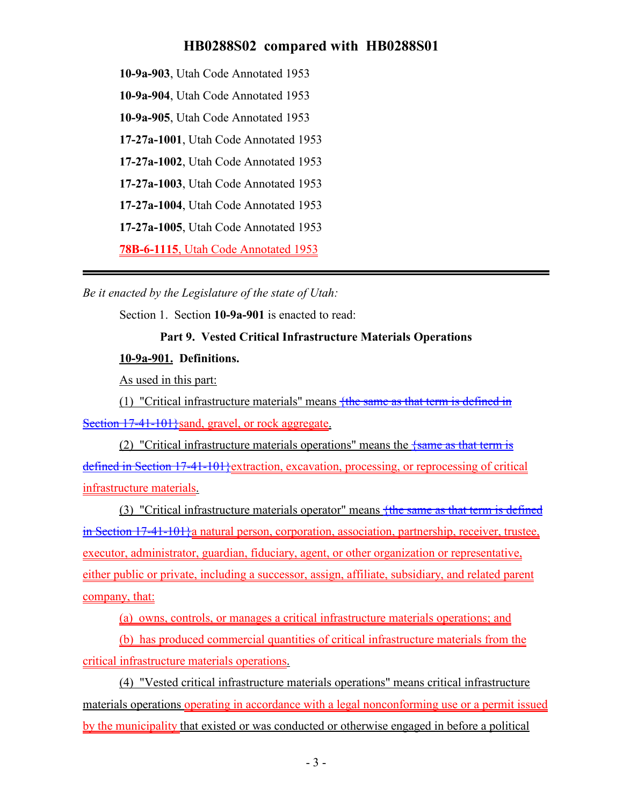**10-9a-903**, Utah Code Annotated 1953

**10-9a-904**, Utah Code Annotated 1953

**10-9a-905**, Utah Code Annotated 1953

**17-27a-1001**, Utah Code Annotated 1953

**17-27a-1002**, Utah Code Annotated 1953

**17-27a-1003**, Utah Code Annotated 1953

**17-27a-1004**, Utah Code Annotated 1953

**17-27a-1005**, Utah Code Annotated 1953

**78B-6-1115**, Utah Code Annotated 1953

*Be it enacted by the Legislature of the state of Utah:*

Section 1. Section **10-9a-901** is enacted to read:

# **Part 9. Vested Critical Infrastructure Materials Operations**

## **10-9a-901. Definitions.**

As used in this part:

(1) "Critical infrastructure materials" means  $\frac{f_{\text{the same as that term is defined in}}{f_{\text{the same as that term}}}$ Section 17-41-101} sand, gravel, or rock aggregate.

(2) "Critical infrastructure materials operations" means the  $\frac{1}{5}$  same as that term is defined in Section 17-41-101}extraction, excavation, processing, or reprocessing of critical infrastructure materials.

(3) "Critical infrastructure materials operator" means {the same as that term is defined in Section 17-41-101}a natural person, corporation, association, partnership, receiver, trustee, executor, administrator, guardian, fiduciary, agent, or other organization or representative, either public or private, including a successor, assign, affiliate, subsidiary, and related parent company, that:

(a) owns, controls, or manages a critical infrastructure materials operations; and

(b) has produced commercial quantities of critical infrastructure materials from the critical infrastructure materials operations.

(4) "Vested critical infrastructure materials operations" means critical infrastructure materials operations operating in accordance with a legal nonconforming use or a permit issued by the municipality that existed or was conducted or otherwise engaged in before a political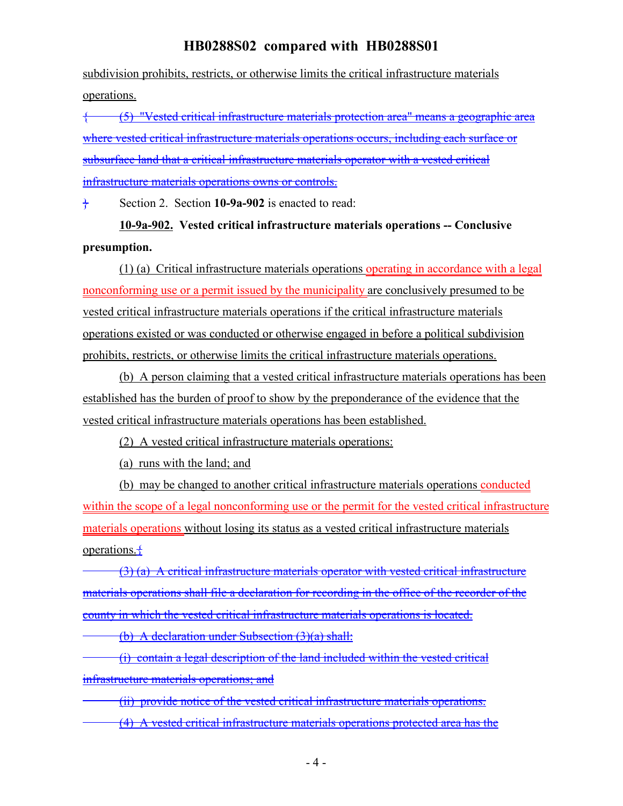subdivision prohibits, restricts, or otherwise limits the critical infrastructure materials operations.

{ (5) "Vested critical infrastructure materials protection area" means a geographic area where vested critical infrastructure materials operations occurs, including each surface or subsurface land that a critical infrastructure materials operator with a vested critical infrastructure materials operations owns or controls.

} Section 2. Section **10-9a-902** is enacted to read:

**10-9a-902. Vested critical infrastructure materials operations -- Conclusive presumption.**

(1) (a) Critical infrastructure materials operations operating in accordance with a legal nonconforming use or a permit issued by the municipality are conclusively presumed to be vested critical infrastructure materials operations if the critical infrastructure materials operations existed or was conducted or otherwise engaged in before a political subdivision prohibits, restricts, or otherwise limits the critical infrastructure materials operations.

(b) A person claiming that a vested critical infrastructure materials operations has been established has the burden of proof to show by the preponderance of the evidence that the vested critical infrastructure materials operations has been established.

(2) A vested critical infrastructure materials operations:

(a) runs with the land; and

(b) may be changed to another critical infrastructure materials operations conducted within the scope of a legal nonconforming use or the permit for the vested critical infrastructure materials operations without losing its status as a vested critical infrastructure materials operations. $\pm$ 

(3) (a) A critical infrastructure materials operator with vested critical infrastructure materials operations shall file a declaration for recording in the office of the recorder of the county in which the vested critical infrastructure materials operations is located.

(b) A declaration under Subsection (3)(a) shall:

(i) contain a legal description of the land included within the vested critical infrastructure materials operations; and

(ii) provide notice of the vested critical infrastructure materials operations.

(4) A vested critical infrastructure materials operations protected area has the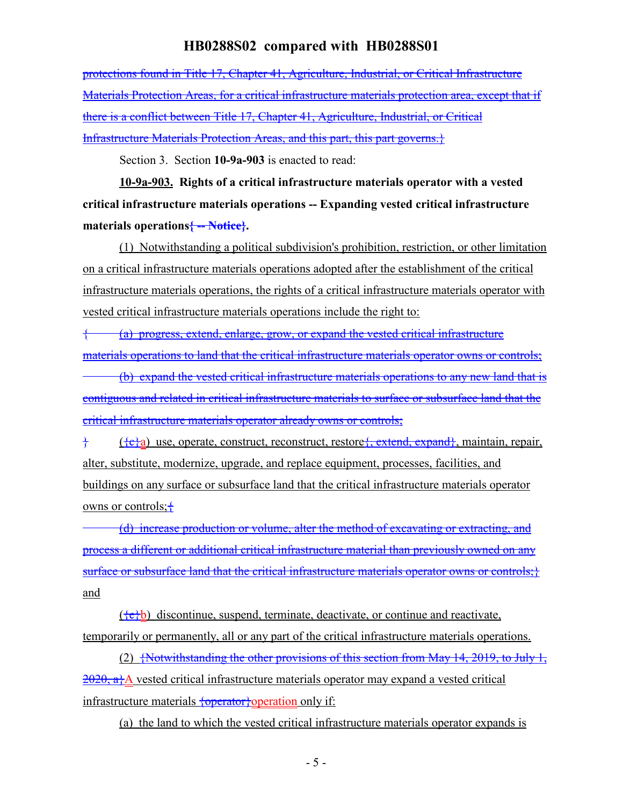protections found in Title 17, Chapter 41, Agriculture, Industrial, or Critical Infrastructure Materials Protection Areas, for a critical infrastructure materials protection area, except that if there is a conflict between Title 17, Chapter 41, Agriculture, Industrial, or Critical Infrastructure Materials Protection Areas, and this part, this part governs.}

Section 3. Section **10-9a-903** is enacted to read:

**10-9a-903. Rights of a critical infrastructure materials operator with a vested critical infrastructure materials operations -- Expanding vested critical infrastructure materials operations{ -- Notice}.**

(1) Notwithstanding a political subdivision's prohibition, restriction, or other limitation on a critical infrastructure materials operations adopted after the establishment of the critical infrastructure materials operations, the rights of a critical infrastructure materials operator with vested critical infrastructure materials operations include the right to:

{ (a) progress, extend, enlarge, grow, or expand the vested critical infrastructure materials operations to land that the critical infrastructure materials operator owns or controls;

(b) expand the vested critical infrastructure materials operations to any new land that is contiguous and related in critical infrastructure materials to surface or subsurface land that the critical infrastructure materials operator already owns or controls;

} ({c}a) use, operate, construct, reconstruct, restore{, extend, expand}, maintain, repair, alter, substitute, modernize, upgrade, and replace equipment, processes, facilities, and buildings on any surface or subsurface land that the critical infrastructure materials operator owns or controls;  $\pm$ 

(d) increase production or volume, alter the method of excavating or extracting, and process a different or additional critical infrastructure material than previously owned on any surface or subsurface land that the critical infrastructure materials operator owns or controls; } and

 $({e}b)$  discontinue, suspend, terminate, deactivate, or continue and reactivate, temporarily or permanently, all or any part of the critical infrastructure materials operations.

(2)  $\frac{1}{2}$  {Notwithstanding the other provisions of this section from May 14, 2019, to July 1,  $2020$ , a<sub>t</sub><sup>A</sup> vested critical infrastructure materials operator may expand a vested critical infrastructure materials {operator} operation only if:

(a) the land to which the vested critical infrastructure materials operator expands is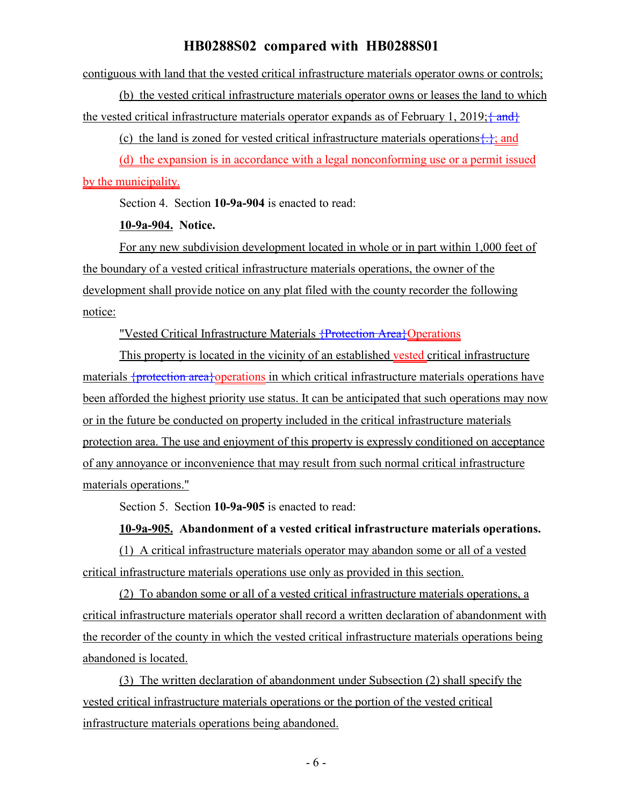contiguous with land that the vested critical infrastructure materials operator owns or controls;

(b) the vested critical infrastructure materials operator owns or leases the land to which the vested critical infrastructure materials operator expands as of February 1, 2019;  $\{\text{and}\}$ 

(c) the land is zoned for vested critical infrastructure materials operations $\{\cdot\}$ ; and

(d) the expansion is in accordance with a legal nonconforming use or a permit issued by the municipality.

Section 4. Section **10-9a-904** is enacted to read:

**10-9a-904. Notice.**

For any new subdivision development located in whole or in part within 1,000 feet of the boundary of a vested critical infrastructure materials operations, the owner of the development shall provide notice on any plat filed with the county recorder the following notice:

"Vested Critical Infrastructure Materials {Protection Area}Operations

This property is located in the vicinity of an established vested critical infrastructure materials {protection area}operations in which critical infrastructure materials operations have been afforded the highest priority use status. It can be anticipated that such operations may now or in the future be conducted on property included in the critical infrastructure materials protection area. The use and enjoyment of this property is expressly conditioned on acceptance of any annoyance or inconvenience that may result from such normal critical infrastructure materials operations."

Section 5. Section **10-9a-905** is enacted to read:

#### **10-9a-905. Abandonment of a vested critical infrastructure materials operations.**

(1) A critical infrastructure materials operator may abandon some or all of a vested critical infrastructure materials operations use only as provided in this section.

(2) To abandon some or all of a vested critical infrastructure materials operations, a critical infrastructure materials operator shall record a written declaration of abandonment with the recorder of the county in which the vested critical infrastructure materials operations being abandoned is located.

(3) The written declaration of abandonment under Subsection (2) shall specify the vested critical infrastructure materials operations or the portion of the vested critical infrastructure materials operations being abandoned.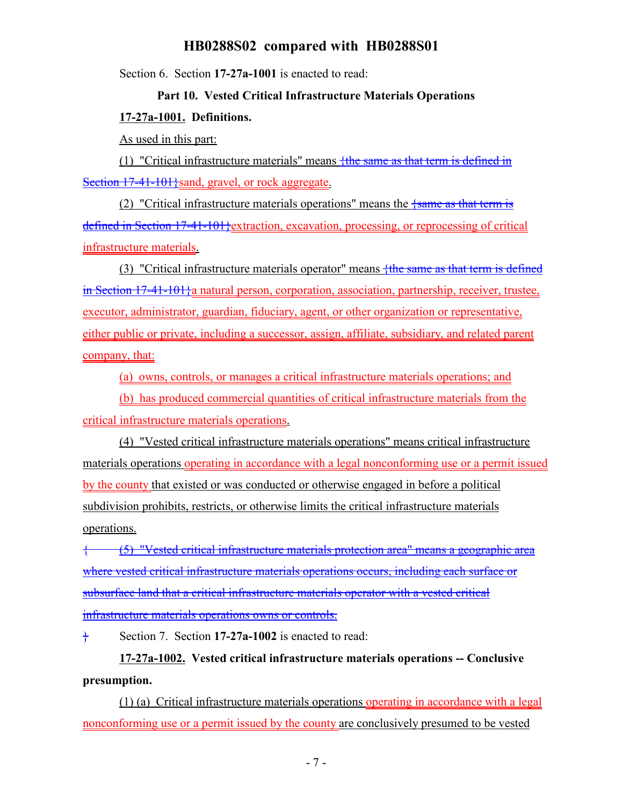Section 6. Section **17-27a-1001** is enacted to read:

# **Part 10. Vested Critical Infrastructure Materials Operations 17-27a-1001. Definitions.**

As used in this part:

(1) "Critical infrastructure materials" means  $\frac{f_{th}}{f_{th}}$  as that term is defined in Section 17-41-101 \frac{sand, gravel, or rock aggregate.

(2) "Critical infrastructure materials operations" means the  $\frac{1}{5}$  same as that term is defined in Section 17-41-101}extraction, excavation, processing, or reprocessing of critical infrastructure materials.

(3) "Critical infrastructure materials operator" means  $f$ the same as that term is defined in Section 17-41-101}a natural person, corporation, association, partnership, receiver, trustee, executor, administrator, guardian, fiduciary, agent, or other organization or representative, either public or private, including a successor, assign, affiliate, subsidiary, and related parent company, that:

(a) owns, controls, or manages a critical infrastructure materials operations; and

(b) has produced commercial quantities of critical infrastructure materials from the critical infrastructure materials operations.

(4) "Vested critical infrastructure materials operations" means critical infrastructure materials operations operating in accordance with a legal nonconforming use or a permit issued by the county that existed or was conducted or otherwise engaged in before a political subdivision prohibits, restricts, or otherwise limits the critical infrastructure materials operations.

{ (5) "Vested critical infrastructure materials protection area" means a geographic area where vested critical infrastructure materials operations occurs, including each surface or subsurface land that a critical infrastructure materials operator with a vested critical infrastructure materials operations owns or controls.

} Section 7. Section **17-27a-1002** is enacted to read:

**17-27a-1002. Vested critical infrastructure materials operations -- Conclusive presumption.**

(1) (a) Critical infrastructure materials operations operating in accordance with a legal nonconforming use or a permit issued by the county are conclusively presumed to be vested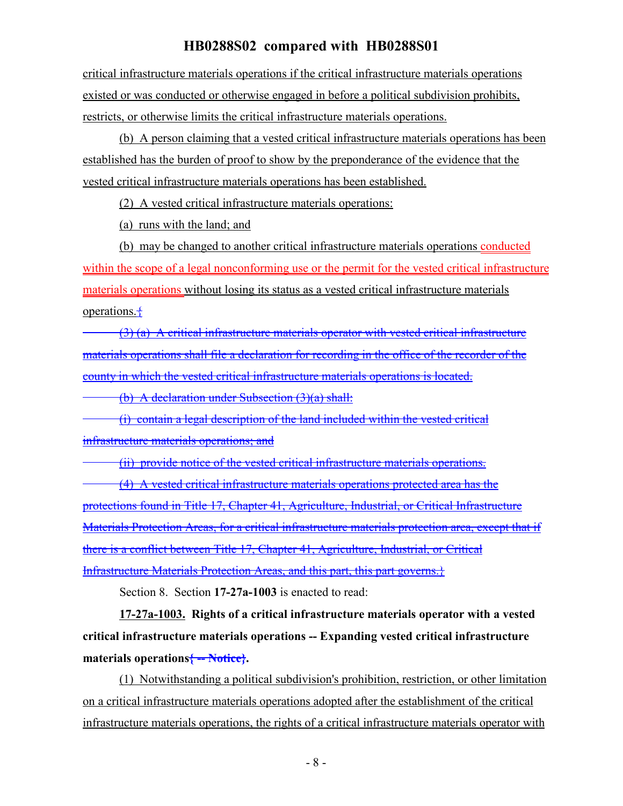critical infrastructure materials operations if the critical infrastructure materials operations existed or was conducted or otherwise engaged in before a political subdivision prohibits, restricts, or otherwise limits the critical infrastructure materials operations.

(b) A person claiming that a vested critical infrastructure materials operations has been established has the burden of proof to show by the preponderance of the evidence that the vested critical infrastructure materials operations has been established.

(2) A vested critical infrastructure materials operations:

(a) runs with the land; and

(b) may be changed to another critical infrastructure materials operations conducted within the scope of a legal nonconforming use or the permit for the vested critical infrastructure materials operations without losing its status as a vested critical infrastructure materials operations. $\pm$ 

(3) (a) A critical infrastructure materials operator with vested critical infrastructure materials operations shall file a declaration for recording in the office of the recorder of the county in which the vested critical infrastructure materials operations is located.

(b) A declaration under Subsection (3)(a) shall:

(i) contain a legal description of the land included within the vested critical infrastructure materials operations; and

(ii) provide notice of the vested critical infrastructure materials operations.

(4) A vested critical infrastructure materials operations protected area has the protections found in Title 17, Chapter 41, Agriculture, Industrial, or Critical Infrastructure Materials Protection Areas, for a critical infrastructure materials protection area, except that if there is a conflict between Title 17, Chapter 41, Agriculture, Industrial, or Critical Infrastructure Materials Protection Areas, and this part, this part governs.}

Section 8. Section **17-27a-1003** is enacted to read:

**17-27a-1003. Rights of a critical infrastructure materials operator with a vested critical infrastructure materials operations -- Expanding vested critical infrastructure materials operations{ -- Notice}.**

(1) Notwithstanding a political subdivision's prohibition, restriction, or other limitation on a critical infrastructure materials operations adopted after the establishment of the critical infrastructure materials operations, the rights of a critical infrastructure materials operator with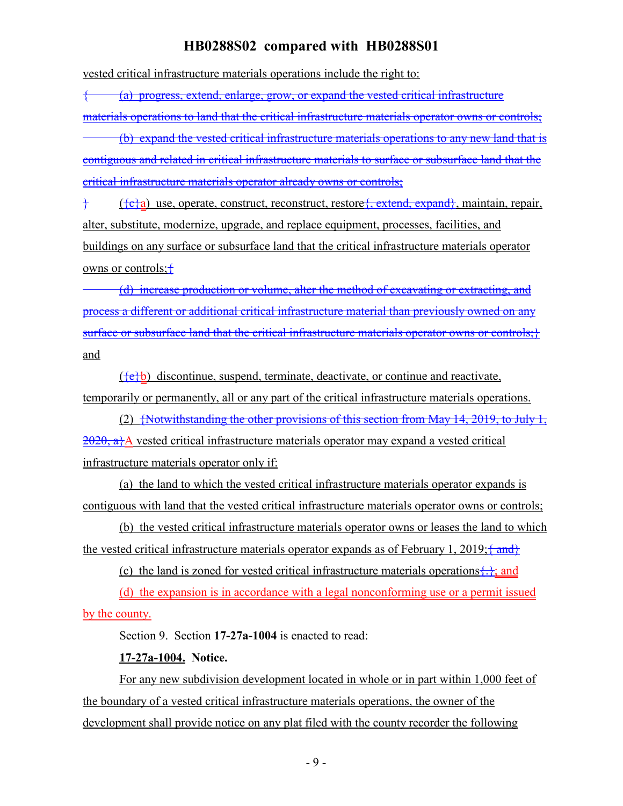vested critical infrastructure materials operations include the right to:

{ (a) progress, extend, enlarge, grow, or expand the vested critical infrastructure

materials operations to land that the critical infrastructure materials operator owns or controls;

(b) expand the vested critical infrastructure materials operations to any new land that is contiguous and related in critical infrastructure materials to surface or subsurface land that the critical infrastructure materials operator already owns or controls;

 $\{\overline{\text{c}}\}$  ( $\{\overline{\text{c}}\}\$ a) use, operate, construct, reconstruct, restore, extend, expand, maintain, repair, alter, substitute, modernize, upgrade, and replace equipment, processes, facilities, and buildings on any surface or subsurface land that the critical infrastructure materials operator owns or controls;  $\pm$ 

(d) increase production or volume, alter the method of excavating or extracting, and process a different or additional critical infrastructure material than previously owned on any surface or subsurface land that the critical infrastructure materials operator owns or controls; } and

 $({e}b)$  discontinue, suspend, terminate, deactivate, or continue and reactivate, temporarily or permanently, all or any part of the critical infrastructure materials operations.

(2)  $\frac{1}{2}$  Notwithstanding the other provisions of this section from May 14, 2019, to July 1,  $2020$ , a}A vested critical infrastructure materials operator may expand a vested critical infrastructure materials operator only if:

(a) the land to which the vested critical infrastructure materials operator expands is contiguous with land that the vested critical infrastructure materials operator owns or controls;

(b) the vested critical infrastructure materials operator owns or leases the land to which the vested critical infrastructure materials operator expands as of February 1, 2019;  $\frac{2 \text{ and }}{2}$ 

(c) the land is zoned for vested critical infrastructure materials operations $\{\cdot\}$ ; and

(d) the expansion is in accordance with a legal nonconforming use or a permit issued by the county.

Section 9. Section **17-27a-1004** is enacted to read:

## **17-27a-1004. Notice.**

For any new subdivision development located in whole or in part within 1,000 feet of the boundary of a vested critical infrastructure materials operations, the owner of the development shall provide notice on any plat filed with the county recorder the following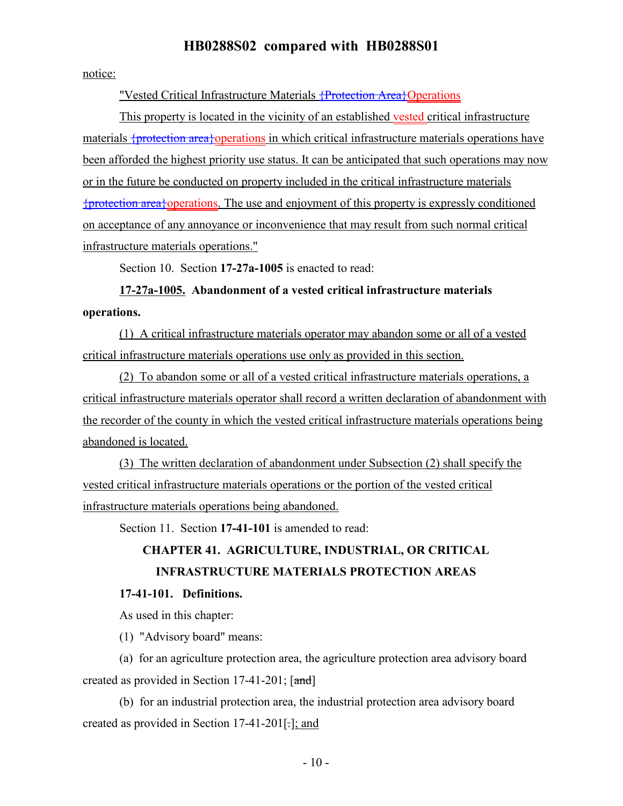notice:

"Vested Critical Infrastructure Materials <del>{Protection Area}</del>Operations

This property is located in the vicinity of an established vested critical infrastructure materials {protection area}operations in which critical infrastructure materials operations have been afforded the highest priority use status. It can be anticipated that such operations may now or in the future be conducted on property included in the critical infrastructure materials {protection area}operations. The use and enjoyment of this property is expressly conditioned on acceptance of any annoyance or inconvenience that may result from such normal critical infrastructure materials operations."

Section 10. Section **17-27a-1005** is enacted to read:

**17-27a-1005. Abandonment of a vested critical infrastructure materials operations.**

(1) A critical infrastructure materials operator may abandon some or all of a vested critical infrastructure materials operations use only as provided in this section.

(2) To abandon some or all of a vested critical infrastructure materials operations, a critical infrastructure materials operator shall record a written declaration of abandonment with the recorder of the county in which the vested critical infrastructure materials operations being abandoned is located.

(3) The written declaration of abandonment under Subsection (2) shall specify the vested critical infrastructure materials operations or the portion of the vested critical infrastructure materials operations being abandoned.

Section 11. Section **17-41-101** is amended to read:

# **CHAPTER 41. AGRICULTURE, INDUSTRIAL, OR CRITICAL INFRASTRUCTURE MATERIALS PROTECTION AREAS**

#### **17-41-101. Definitions.**

As used in this chapter:

(1) "Advisory board" means:

(a) for an agriculture protection area, the agriculture protection area advisory board created as provided in Section 17-41-201; [and]

(b) for an industrial protection area, the industrial protection area advisory board created as provided in Section 17-41-201[.]; and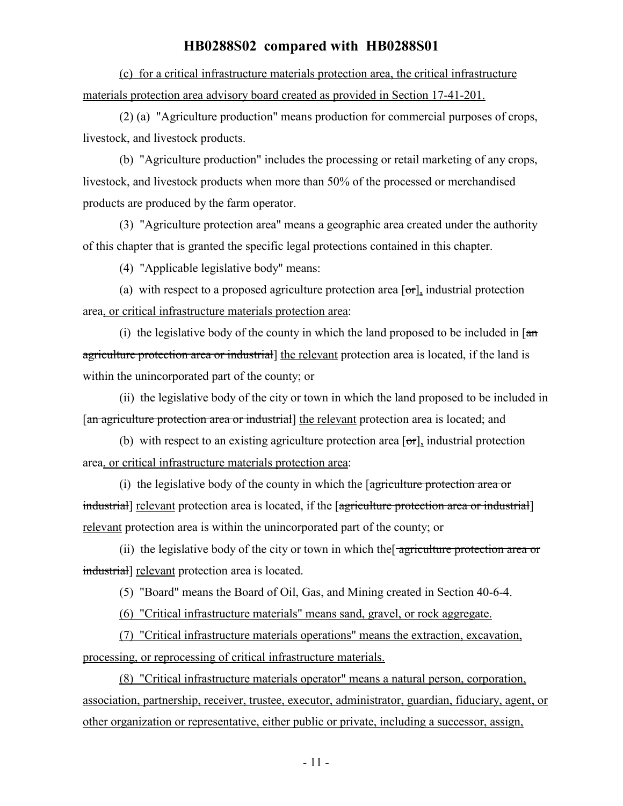(c) for a critical infrastructure materials protection area, the critical infrastructure materials protection area advisory board created as provided in Section 17-41-201.

(2) (a) "Agriculture production" means production for commercial purposes of crops, livestock, and livestock products.

(b) "Agriculture production" includes the processing or retail marketing of any crops, livestock, and livestock products when more than 50% of the processed or merchandised products are produced by the farm operator.

(3) "Agriculture protection area" means a geographic area created under the authority of this chapter that is granted the specific legal protections contained in this chapter.

(4) "Applicable legislative body" means:

(a) with respect to a proposed agriculture protection area  $[\sigma r]$ , industrial protection area, or critical infrastructure materials protection area:

(i) the legislative body of the county in which the land proposed to be included in  $\pi$ agriculture protection area or industrial the relevant protection area is located, if the land is within the unincorporated part of the county; or

(ii) the legislative body of the city or town in which the land proposed to be included in [an agriculture protection area or industrial] the relevant protection area is located; and

(b) with respect to an existing agriculture protection area  $[\sigma r]$ , industrial protection area, or critical infrastructure materials protection area:

(i) the legislative body of the county in which the  $\sqrt{q}$  agriculture protection area or industrial] relevant protection area is located, if the [agriculture protection area or industrial] relevant protection area is within the unincorporated part of the county; or

(ii) the legislative body of the city or town in which the agriculture protection area or industrial] relevant protection area is located.

(5) "Board" means the Board of Oil, Gas, and Mining created in Section 40-6-4.

(6) "Critical infrastructure materials" means sand, gravel, or rock aggregate.

(7) "Critical infrastructure materials operations" means the extraction, excavation, processing, or reprocessing of critical infrastructure materials.

(8) "Critical infrastructure materials operator" means a natural person, corporation, association, partnership, receiver, trustee, executor, administrator, guardian, fiduciary, agent, or other organization or representative, either public or private, including a successor, assign,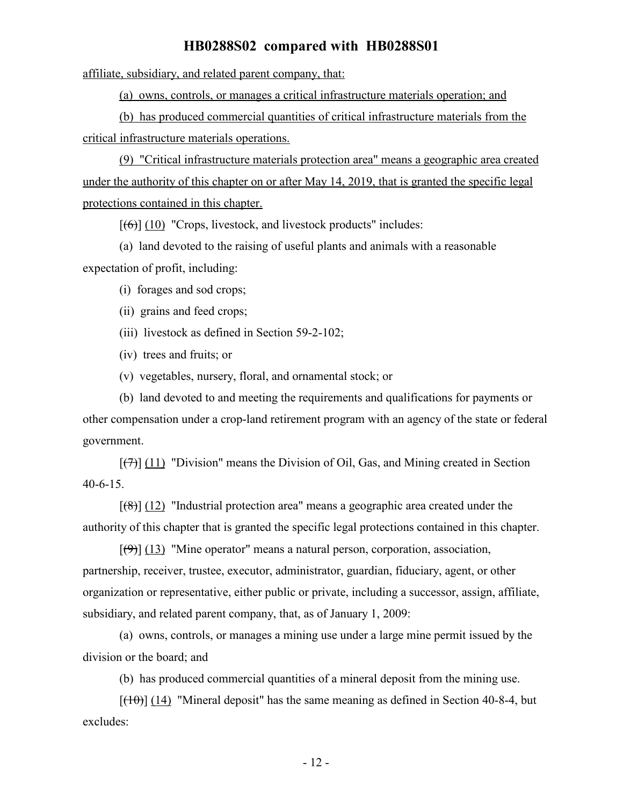affiliate, subsidiary, and related parent company, that:

(a) owns, controls, or manages a critical infrastructure materials operation; and

(b) has produced commercial quantities of critical infrastructure materials from the critical infrastructure materials operations.

(9) "Critical infrastructure materials protection area" means a geographic area created under the authority of this chapter on or after May 14, 2019, that is granted the specific legal protections contained in this chapter.

 $[(6)]$  (10) "Crops, livestock, and livestock products" includes:

(a) land devoted to the raising of useful plants and animals with a reasonable expectation of profit, including:

(i) forages and sod crops;

(ii) grains and feed crops;

(iii) livestock as defined in Section 59-2-102;

(iv) trees and fruits; or

(v) vegetables, nursery, floral, and ornamental stock; or

(b) land devoted to and meeting the requirements and qualifications for payments or other compensation under a crop-land retirement program with an agency of the state or federal government.

 $[\overline{(7)}]$  (11) "Division" means the Division of Oil, Gas, and Mining created in Section 40-6-15.

 $[(8)]$  (12) "Industrial protection area" means a geographic area created under the authority of this chapter that is granted the specific legal protections contained in this chapter.

 $[\langle 9 \rangle]$  (13) "Mine operator" means a natural person, corporation, association, partnership, receiver, trustee, executor, administrator, guardian, fiduciary, agent, or other organization or representative, either public or private, including a successor, assign, affiliate, subsidiary, and related parent company, that, as of January 1, 2009:

(a) owns, controls, or manages a mining use under a large mine permit issued by the division or the board; and

(b) has produced commercial quantities of a mineral deposit from the mining use.

 $[(10)(14)$  "Mineral deposit" has the same meaning as defined in Section 40-8-4, but excludes: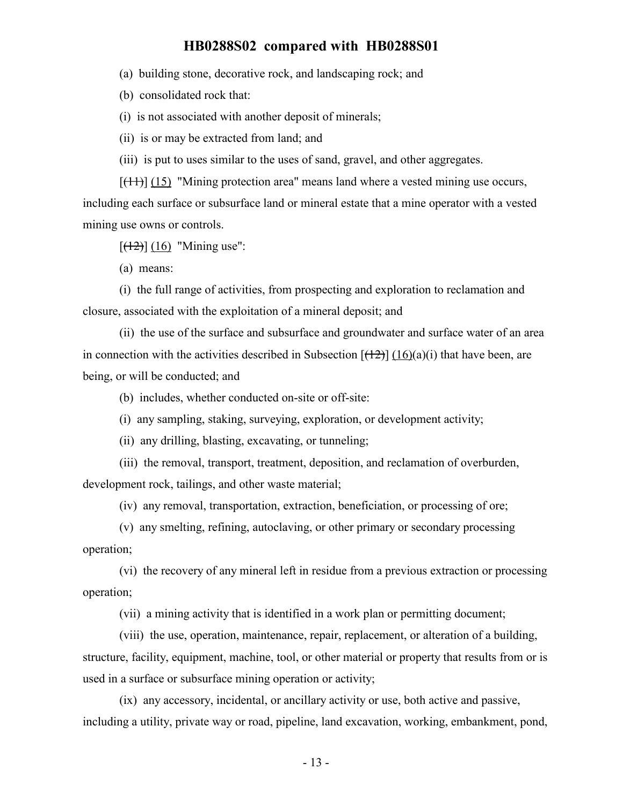(a) building stone, decorative rock, and landscaping rock; and

(b) consolidated rock that:

(i) is not associated with another deposit of minerals;

(ii) is or may be extracted from land; and

(iii) is put to uses similar to the uses of sand, gravel, and other aggregates.

 $[$ (11)] (15) "Mining protection area" means land where a vested mining use occurs, including each surface or subsurface land or mineral estate that a mine operator with a vested mining use owns or controls.

 $[ (12) ] (16)$  "Mining use":

(a) means:

(i) the full range of activities, from prospecting and exploration to reclamation and closure, associated with the exploitation of a mineral deposit; and

(ii) the use of the surface and subsurface and groundwater and surface water of an area in connection with the activities described in Subsection  $[(12)]$  (16)(a)(i) that have been, are being, or will be conducted; and

(b) includes, whether conducted on-site or off-site:

(i) any sampling, staking, surveying, exploration, or development activity;

(ii) any drilling, blasting, excavating, or tunneling;

(iii) the removal, transport, treatment, deposition, and reclamation of overburden, development rock, tailings, and other waste material;

(iv) any removal, transportation, extraction, beneficiation, or processing of ore;

(v) any smelting, refining, autoclaving, or other primary or secondary processing operation;

(vi) the recovery of any mineral left in residue from a previous extraction or processing operation;

(vii) a mining activity that is identified in a work plan or permitting document;

(viii) the use, operation, maintenance, repair, replacement, or alteration of a building, structure, facility, equipment, machine, tool, or other material or property that results from or is used in a surface or subsurface mining operation or activity;

(ix) any accessory, incidental, or ancillary activity or use, both active and passive, including a utility, private way or road, pipeline, land excavation, working, embankment, pond,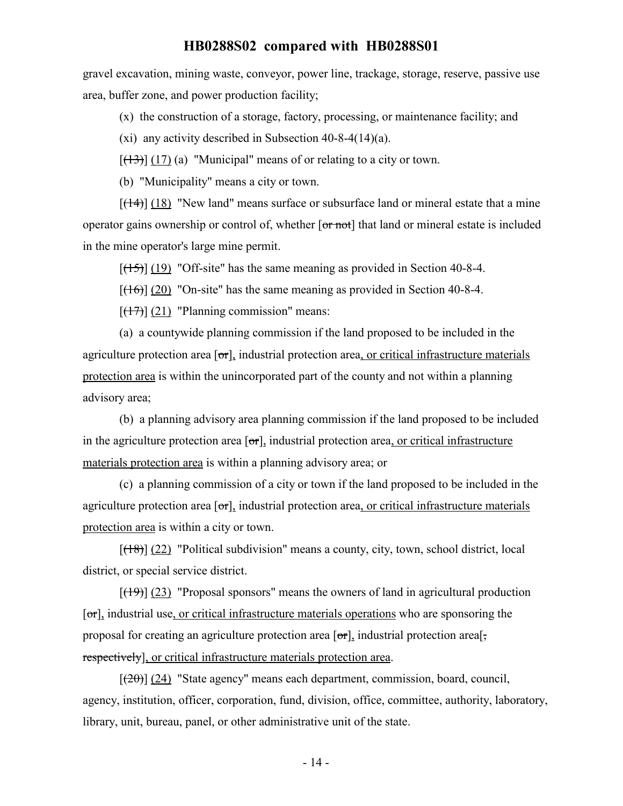gravel excavation, mining waste, conveyor, power line, trackage, storage, reserve, passive use area, buffer zone, and power production facility;

(x) the construction of a storage, factory, processing, or maintenance facility; and

(xi) any activity described in Subsection 40-8-4(14)(a).

 $[ (13) ] (17) (a)$  "Municipal" means of or relating to a city or town.

(b) "Municipality" means a city or town.

 $[ (14) ] (18)$  "New land" means surface or subsurface land or mineral estate that a mine operator gains ownership or control of, whether [or not] that land or mineral estate is included in the mine operator's large mine permit.

 $[(15)]$  (19) "Off-site" has the same meaning as provided in Section 40-8-4.

 $[({16})]$  (20) "On-site" has the same meaning as provided in Section 40-8-4.

 $[ (17) ]$  (21) "Planning commission" means:

(a) a countywide planning commission if the land proposed to be included in the agriculture protection area  $[\sigma r]$ , industrial protection area, or critical infrastructure materials protection area is within the unincorporated part of the county and not within a planning advisory area;

(b) a planning advisory area planning commission if the land proposed to be included in the agriculture protection area  $\sigma$ , industrial protection area, or critical infrastructure materials protection area is within a planning advisory area; or

(c) a planning commission of a city or town if the land proposed to be included in the agriculture protection area  $\sigma$ , industrial protection area, or critical infrastructure materials protection area is within a city or town.

 $[(18)]$  (22) "Political subdivision" means a county, city, town, school district, local district, or special service district.

 $[(19)] (23)$  "Proposal sponsors" means the owners of land in agricultural production [or], industrial use, or critical infrastructure materials operations who are sponsoring the proposal for creating an agriculture protection area  $\sigma$ , industrial protection area. respectively], or critical infrastructure materials protection area.

 $[(20)]$  (24) "State agency" means each department, commission, board, council, agency, institution, officer, corporation, fund, division, office, committee, authority, laboratory, library, unit, bureau, panel, or other administrative unit of the state.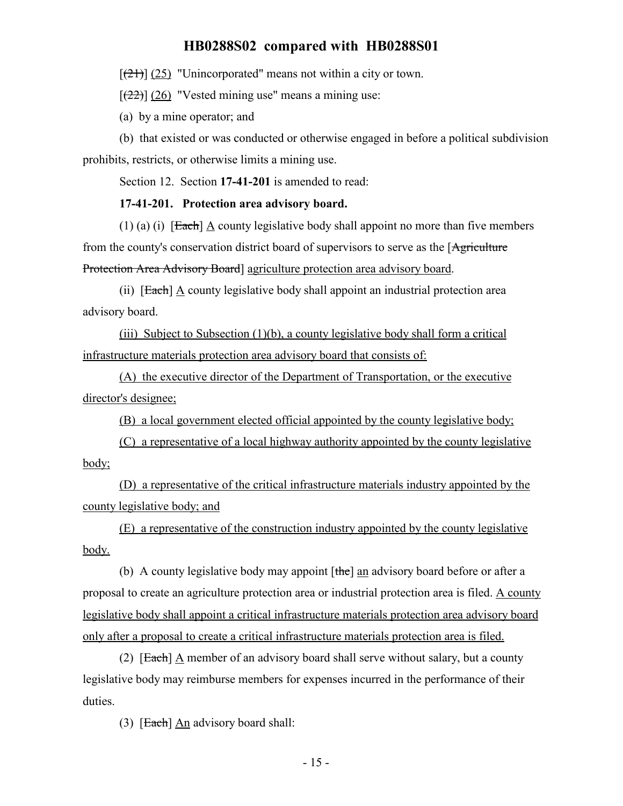$[\frac{(21)}{(25)}]$  "Unincorporated" means not within a city or town.

 $[(22)]$  (26) "Vested mining use" means a mining use:

(a) by a mine operator; and

(b) that existed or was conducted or otherwise engaged in before a political subdivision prohibits, restricts, or otherwise limits a mining use.

Section 12. Section **17-41-201** is amended to read:

#### **17-41-201. Protection area advisory board.**

(1) (a) (i) [Each]  $\triangle$  county legislative body shall appoint no more than five members from the county's conservation district board of supervisors to serve as the [Agriculture] Protection Area Advisory Board] agriculture protection area advisory board.

(ii)  $[Each] \Delta$  county legislative body shall appoint an industrial protection area advisory board.

(iii) Subject to Subsection (1)(b), a county legislative body shall form a critical infrastructure materials protection area advisory board that consists of:

(A) the executive director of the Department of Transportation, or the executive director's designee;

(B) a local government elected official appointed by the county legislative body;

(C) a representative of a local highway authority appointed by the county legislative body;

(D) a representative of the critical infrastructure materials industry appointed by the county legislative body; and

(E) a representative of the construction industry appointed by the county legislative body.

(b) A county legislative body may appoint [the] an advisory board before or after a proposal to create an agriculture protection area or industrial protection area is filed. A county legislative body shall appoint a critical infrastructure materials protection area advisory board only after a proposal to create a critical infrastructure materials protection area is filed.

(2)  $[Each]$  A member of an advisory board shall serve without salary, but a county legislative body may reimburse members for expenses incurred in the performance of their duties.

(3)  $[Each]$  An advisory board shall: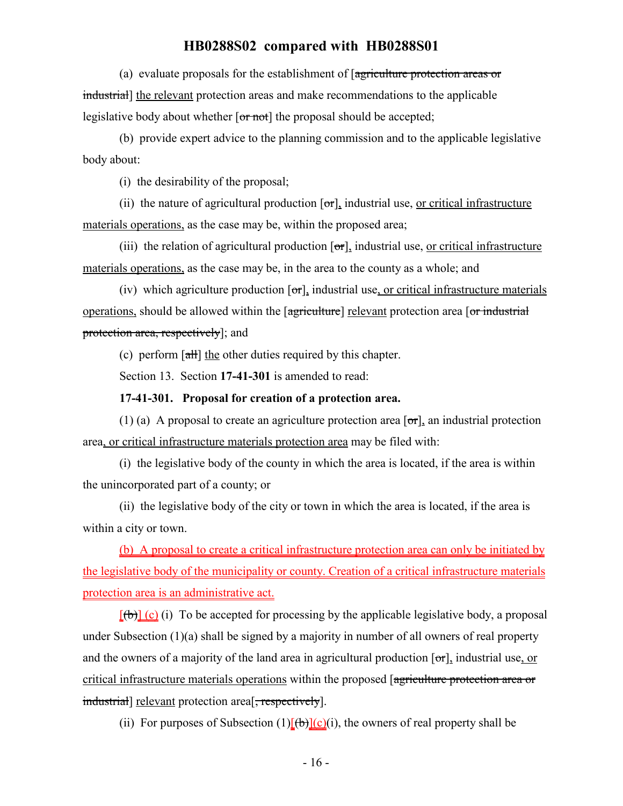(a) evaluate proposals for the establishment of [agriculture protection areas or industrial] the relevant protection areas and make recommendations to the applicable legislative body about whether  $\overline{or not}$  the proposal should be accepted;

(b) provide expert advice to the planning commission and to the applicable legislative body about:

(i) the desirability of the proposal;

(ii) the nature of agricultural production  $[\sigma_{\tau}]$ , industrial use, or critical infrastructure materials operations, as the case may be, within the proposed area;

(iii) the relation of agricultural production  $\sigma$ , industrial use, or critical infrastructure materials operations, as the case may be, in the area to the county as a whole; and

(iv) which agriculture production  $\lceil \sigma r \rceil$ , industrial use, or critical infrastructure materials operations, should be allowed within the [agriculture] relevant protection area [or industrial protection area, respectively]; and

(c) perform  $\left[\frac{\text{d}}{\text{d}}\right]$  the other duties required by this chapter.

Section 13. Section **17-41-301** is amended to read:

#### **17-41-301. Proposal for creation of a protection area.**

(1) (a) A proposal to create an agriculture protection area  $\lceil \sigma r \rceil$ , an industrial protection area, or critical infrastructure materials protection area may be filed with:

(i) the legislative body of the county in which the area is located, if the area is within the unincorporated part of a county; or

(ii) the legislative body of the city or town in which the area is located, if the area is within a city or town.

(b) A proposal to create a critical infrastructure protection area can only be initiated by the legislative body of the municipality or county. Creation of a critical infrastructure materials protection area is an administrative act.

 $[(b)]$  (c) (i) To be accepted for processing by the applicable legislative body, a proposal under Subsection  $(1)(a)$  shall be signed by a majority in number of all owners of real property and the owners of a majority of the land area in agricultural production  $[\sigma r]$ , industrial use, or critical infrastructure materials operations within the proposed [agriculture protection area or industrial] relevant protection area<sup>[</sup>, respectively].

(ii) For purposes of Subsection  $(1)[(b)](c)(i)$ , the owners of real property shall be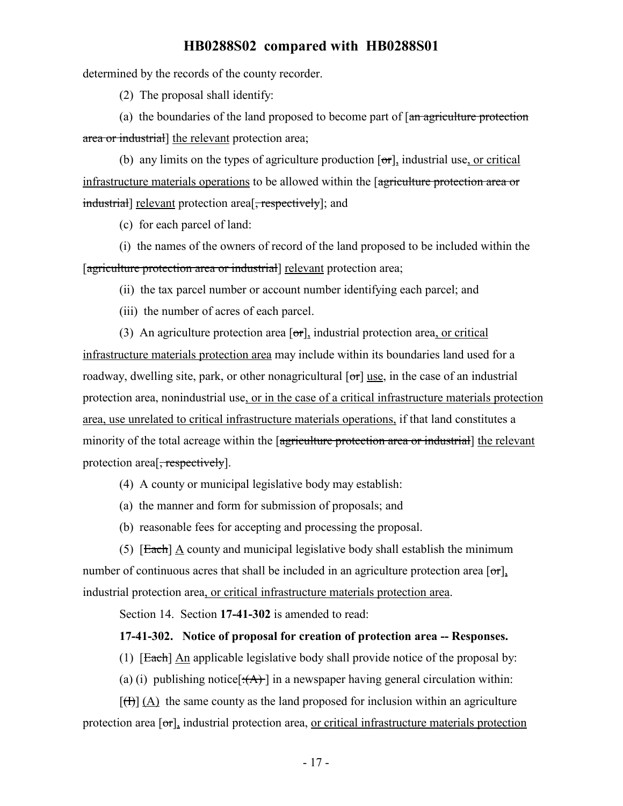determined by the records of the county recorder.

(2) The proposal shall identify:

(a) the boundaries of the land proposed to become part of  $\left[\frac{a_n}{a_n}\right]$  agriculture protection area or industrial] the relevant protection area;

(b) any limits on the types of agriculture production  $\sigma$ , industrial use, or critical infrastructure materials operations to be allowed within the [agriculture protection area or industrial] relevant protection area<sup>[-</sup>, respectively]; and

(c) for each parcel of land:

(i) the names of the owners of record of the land proposed to be included within the [agriculture protection area or industrial] relevant protection area;

(ii) the tax parcel number or account number identifying each parcel; and

(iii) the number of acres of each parcel.

(3) An agriculture protection area  $[\sigma r]$ , industrial protection area, or critical infrastructure materials protection area may include within its boundaries land used for a roadway, dwelling site, park, or other nonagricultural  $\sigma$  and  $\sigma$ ] use, in the case of an industrial protection area, nonindustrial use, or in the case of a critical infrastructure materials protection area, use unrelated to critical infrastructure materials operations, if that land constitutes a minority of the total acreage within the [agriculture protection area or industrial] the relevant protection area<sup>[, respectively].</sup>

(4) A county or municipal legislative body may establish:

(a) the manner and form for submission of proposals; and

(b) reasonable fees for accepting and processing the proposal.

(5)  $[Each] A county and municipal legislative body shall establish the minimum$ number of continuous acres that shall be included in an agriculture protection area  $\lceil \sigma r \rceil$ . industrial protection area, or critical infrastructure materials protection area.

Section 14. Section **17-41-302** is amended to read:

#### **17-41-302. Notice of proposal for creation of protection area -- Responses.**

(1) [Each] An applicable legislative body shall provide notice of the proposal by:

(a) (i) publishing notice  $\{\hat{A}\}$  in a newspaper having general circulation within:

 $[\text{H}]$  (A) the same county as the land proposed for inclusion within an agriculture protection area  $[\sigma_{\tau}]$ , industrial protection area, or critical infrastructure materials protection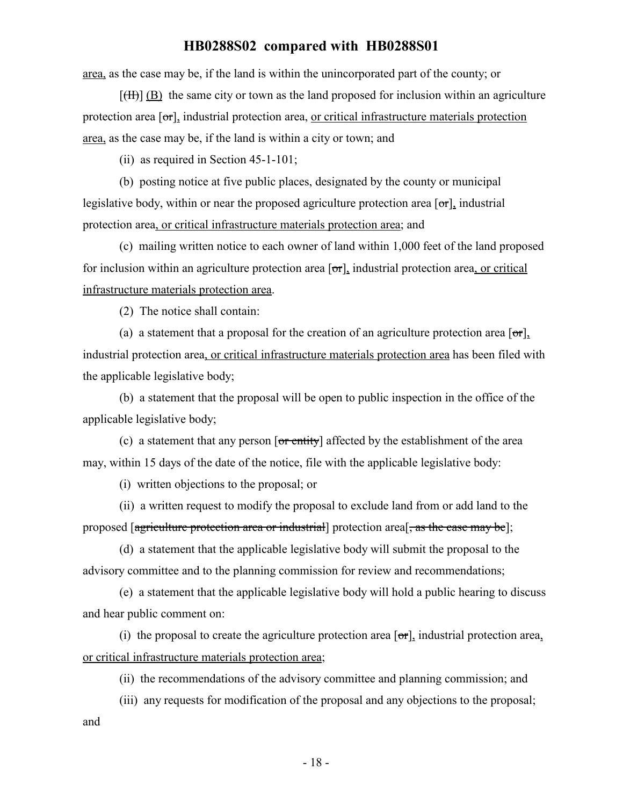area, as the case may be, if the land is within the unincorporated part of the county; or

 $[\text{H}\text{H}]$  (B) the same city or town as the land proposed for inclusion within an agriculture protection area [or], industrial protection area, <u>or critical infrastructure materials protection</u> area, as the case may be, if the land is within a city or town; and

(ii) as required in Section 45-1-101;

(b) posting notice at five public places, designated by the county or municipal legislative body, within or near the proposed agriculture protection area  $\lceil \sigma r \rceil$ , industrial protection area, or critical infrastructure materials protection area; and

(c) mailing written notice to each owner of land within 1,000 feet of the land proposed for inclusion within an agriculture protection area  $[\sigma r]$ , industrial protection area, or critical infrastructure materials protection area.

(2) The notice shall contain:

(a) a statement that a proposal for the creation of an agriculture protection area  $\lceil \sigma r \rceil$ , industrial protection area, or critical infrastructure materials protection area has been filed with the applicable legislative body;

(b) a statement that the proposal will be open to public inspection in the office of the applicable legislative body;

(c) a statement that any person  $\overline{or$  entity] affected by the establishment of the area may, within 15 days of the date of the notice, file with the applicable legislative body:

(i) written objections to the proposal; or

(ii) a written request to modify the proposal to exclude land from or add land to the proposed [agriculture protection area or industrial] protection area<sup>[</sup>, as the case may be];

(d) a statement that the applicable legislative body will submit the proposal to the advisory committee and to the planning commission for review and recommendations;

(e) a statement that the applicable legislative body will hold a public hearing to discuss and hear public comment on:

(i) the proposal to create the agriculture protection area  $[\sigma r]$ , industrial protection area, or critical infrastructure materials protection area;

(ii) the recommendations of the advisory committee and planning commission; and

(iii) any requests for modification of the proposal and any objections to the proposal; and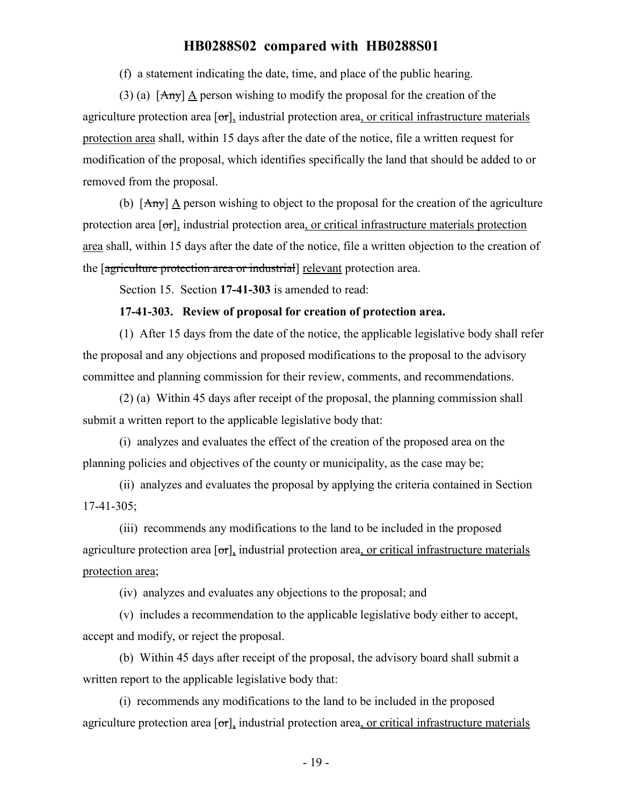(f) a statement indicating the date, time, and place of the public hearing.

(3) (a) [Any] A person wishing to modify the proposal for the creation of the agriculture protection area  $[\sigma r]$ , industrial protection area, or critical infrastructure materials protection area shall, within 15 days after the date of the notice, file a written request for modification of the proposal, which identifies specifically the land that should be added to or removed from the proposal.

(b)  $[**Any**]$  A person wishing to object to the proposal for the creation of the agriculture protection area  $\sigma$ , industrial protection area, or critical infrastructure materials protection area shall, within 15 days after the date of the notice, file a written objection to the creation of the [agriculture protection area or industrial] relevant protection area.

Section 15. Section **17-41-303** is amended to read:

#### **17-41-303. Review of proposal for creation of protection area.**

(1) After 15 days from the date of the notice, the applicable legislative body shall refer the proposal and any objections and proposed modifications to the proposal to the advisory committee and planning commission for their review, comments, and recommendations.

(2) (a) Within 45 days after receipt of the proposal, the planning commission shall submit a written report to the applicable legislative body that:

(i) analyzes and evaluates the effect of the creation of the proposed area on the planning policies and objectives of the county or municipality, as the case may be;

(ii) analyzes and evaluates the proposal by applying the criteria contained in Section 17-41-305;

(iii) recommends any modifications to the land to be included in the proposed agriculture protection area  $\sigma$ , industrial protection area, or critical infrastructure materials protection area;

(iv) analyzes and evaluates any objections to the proposal; and

(v) includes a recommendation to the applicable legislative body either to accept, accept and modify, or reject the proposal.

(b) Within 45 days after receipt of the proposal, the advisory board shall submit a written report to the applicable legislative body that:

(i) recommends any modifications to the land to be included in the proposed agriculture protection area  $[\sigma r]$ , industrial protection area, or critical infrastructure materials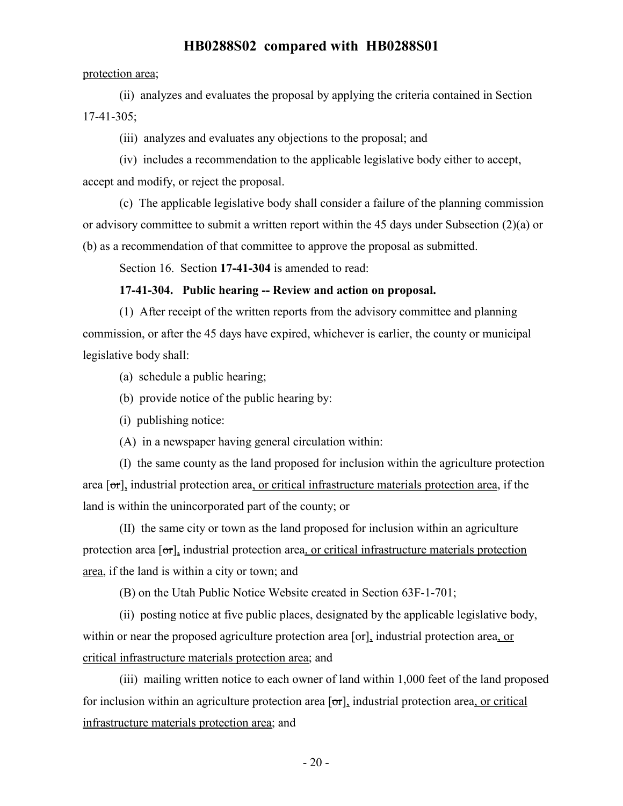#### protection area;

(ii) analyzes and evaluates the proposal by applying the criteria contained in Section 17-41-305;

(iii) analyzes and evaluates any objections to the proposal; and

(iv) includes a recommendation to the applicable legislative body either to accept, accept and modify, or reject the proposal.

(c) The applicable legislative body shall consider a failure of the planning commission or advisory committee to submit a written report within the 45 days under Subsection (2)(a) or (b) as a recommendation of that committee to approve the proposal as submitted.

Section 16. Section **17-41-304** is amended to read:

#### **17-41-304. Public hearing -- Review and action on proposal.**

(1) After receipt of the written reports from the advisory committee and planning commission, or after the 45 days have expired, whichever is earlier, the county or municipal legislative body shall:

- (a) schedule a public hearing;
- (b) provide notice of the public hearing by:
- (i) publishing notice:
- (A) in a newspaper having general circulation within:

(I) the same county as the land proposed for inclusion within the agriculture protection area  $\sigma$ , industrial protection area, or critical infrastructure materials protection area, if the land is within the unincorporated part of the county; or

(II) the same city or town as the land proposed for inclusion within an agriculture protection area  $\sigma$ , industrial protection area, or critical infrastructure materials protection area, if the land is within a city or town; and

(B) on the Utah Public Notice Website created in Section 63F-1-701;

(ii) posting notice at five public places, designated by the applicable legislative body, within or near the proposed agriculture protection area  $[\sigma r]$ , industrial protection area, or critical infrastructure materials protection area; and

(iii) mailing written notice to each owner of land within 1,000 feet of the land proposed for inclusion within an agriculture protection area  $\sigma$ , industrial protection area, or critical infrastructure materials protection area; and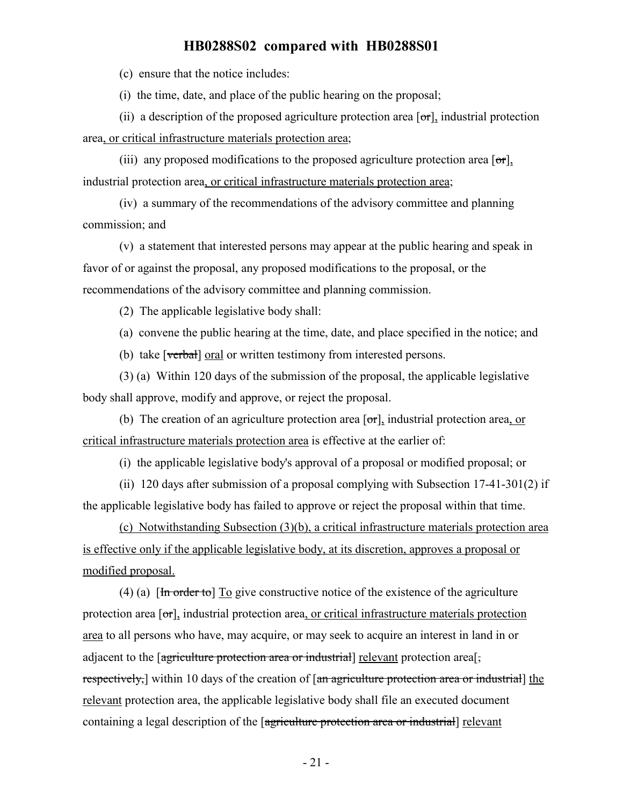(c) ensure that the notice includes:

(i) the time, date, and place of the public hearing on the proposal;

(ii) a description of the proposed agriculture protection area  $[\sigma r]$ , industrial protection area, or critical infrastructure materials protection area;

(iii) any proposed modifications to the proposed agriculture protection area  $[\sigma \tau]$ , industrial protection area, or critical infrastructure materials protection area;

(iv) a summary of the recommendations of the advisory committee and planning commission; and

(v) a statement that interested persons may appear at the public hearing and speak in favor of or against the proposal, any proposed modifications to the proposal, or the recommendations of the advisory committee and planning commission.

(2) The applicable legislative body shall:

(a) convene the public hearing at the time, date, and place specified in the notice; and

(b) take [verbal] oral or written testimony from interested persons.

(3) (a) Within 120 days of the submission of the proposal, the applicable legislative body shall approve, modify and approve, or reject the proposal.

(b) The creation of an agriculture protection area  $[\sigma \tau]$ , industrial protection area, or critical infrastructure materials protection area is effective at the earlier of:

(i) the applicable legislative body's approval of a proposal or modified proposal; or

(ii) 120 days after submission of a proposal complying with Subsection 17-41-301(2) if the applicable legislative body has failed to approve or reject the proposal within that time.

(c) Notwithstanding Subsection (3)(b), a critical infrastructure materials protection area is effective only if the applicable legislative body, at its discretion, approves a proposal or modified proposal.

(4) (a)  $\left[\frac{\text{Im order to}}{\text{Im} \cdot \text{Im} \cdot \text{Im} \cdot \text{Im} \cdot \text{Im} \cdot \text{Im} \cdot \text{Im} \cdot \text{Im} \cdot \text{Im} \cdot \text{Im} \cdot \text{Im} \cdot \text{Im} \cdot \text{Im} \cdot \text{Im} \cdot \text{Im} \cdot \text{Im} \cdot \text{Im} \cdot \text{Im} \cdot \text{Im} \cdot \text{Im} \cdot \text{Im} \cdot \text{Im} \cdot \text{Im} \cdot \text{Im} \cdot \text{Im} \cdot \text{Im} \cdot \text{Im} \cdot \text{Im} \cdot \text{Im}$ protection area  $\lceil \sigma r \rceil$ , industrial protection area, or critical infrastructure materials protection area to all persons who have, may acquire, or may seek to acquire an interest in land in or adjacent to the  $\sqrt{q}$  agriculture protection area or industrial relevant protection areal, respectively, within 10 days of the creation of [an agriculture protection area or industrial] the relevant protection area, the applicable legislative body shall file an executed document containing a legal description of the [agriculture protection area or industrial] relevant

- 21 -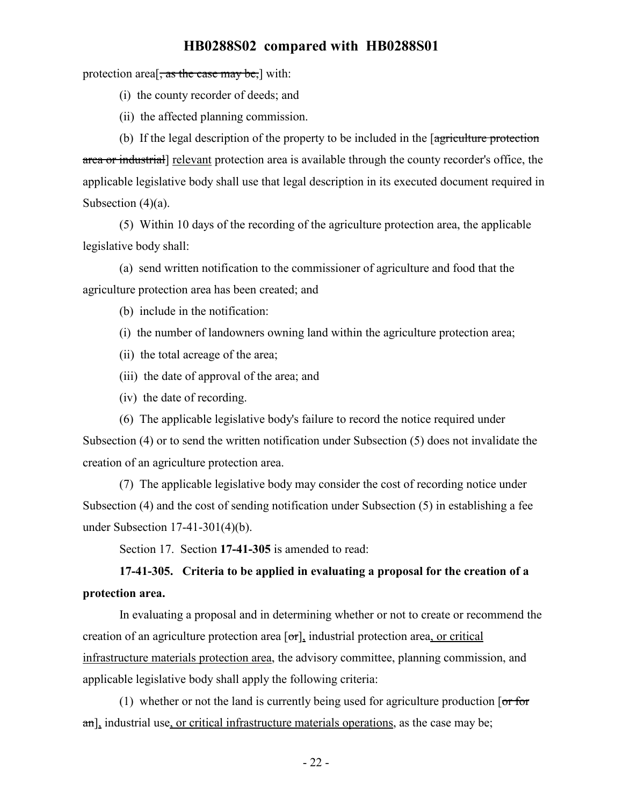protection area<sup>[ $\frac{1}{x}$ </sup> as the case may be,] with:

- (i) the county recorder of deeds; and
- (ii) the affected planning commission.

(b) If the legal description of the property to be included in the [agriculture protection area or industrial] relevant protection area is available through the county recorder's office, the applicable legislative body shall use that legal description in its executed document required in Subsection (4)(a).

(5) Within 10 days of the recording of the agriculture protection area, the applicable legislative body shall:

(a) send written notification to the commissioner of agriculture and food that the agriculture protection area has been created; and

(b) include in the notification:

- (i) the number of landowners owning land within the agriculture protection area;
- (ii) the total acreage of the area;
- (iii) the date of approval of the area; and
- (iv) the date of recording.

(6) The applicable legislative body's failure to record the notice required under Subsection (4) or to send the written notification under Subsection (5) does not invalidate the creation of an agriculture protection area.

(7) The applicable legislative body may consider the cost of recording notice under Subsection (4) and the cost of sending notification under Subsection (5) in establishing a fee under Subsection 17-41-301(4)(b).

Section 17. Section **17-41-305** is amended to read:

# **17-41-305. Criteria to be applied in evaluating a proposal for the creation of a protection area.**

In evaluating a proposal and in determining whether or not to create or recommend the creation of an agriculture protection area  $[\sigma r]$ , industrial protection area, or critical infrastructure materials protection area, the advisory committee, planning commission, and applicable legislative body shall apply the following criteria:

(1) whether or not the land is currently being used for agriculture production  $\sigma$  for an], industrial use, or critical infrastructure materials operations, as the case may be;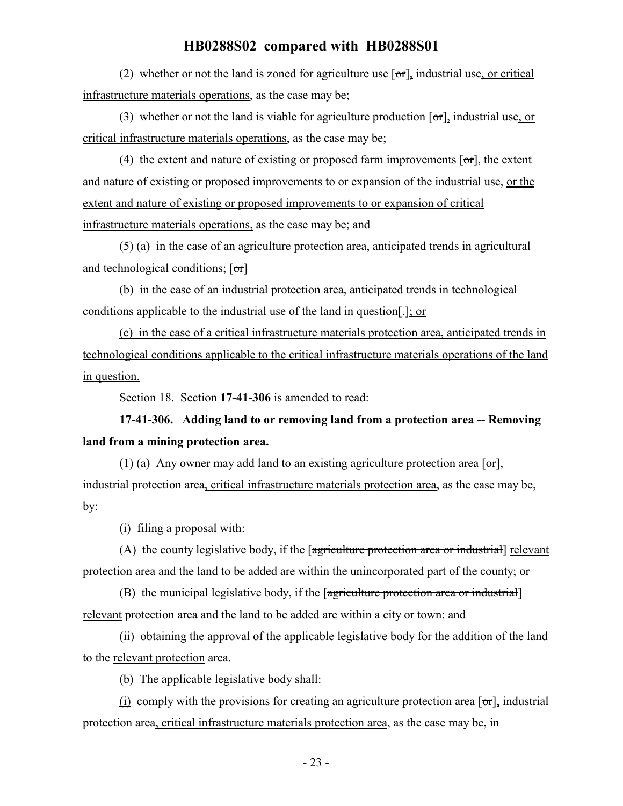(2) whether or not the land is zoned for agriculture use  $\lceil \sigma r \rceil$ , industrial use, or critical infrastructure materials operations, as the case may be;

(3) whether or not the land is viable for agriculture production  $[\sigma r]$ , industrial use, or critical infrastructure materials operations, as the case may be;

(4) the extent and nature of existing or proposed farm improvements  $[\sigma_{\tau}]$ , the extent and nature of existing or proposed improvements to or expansion of the industrial use, or the extent and nature of existing or proposed improvements to or expansion of critical infrastructure materials operations, as the case may be; and

(5) (a) in the case of an agriculture protection area, anticipated trends in agricultural and technological conditions;  $[\sigma r]$ 

(b) in the case of an industrial protection area, anticipated trends in technological conditions applicable to the industrial use of the land in question[.]; or

(c) in the case of a critical infrastructure materials protection area, anticipated trends in technological conditions applicable to the critical infrastructure materials operations of the land in question.

Section 18. Section **17-41-306** is amended to read:

**17-41-306. Adding land to or removing land from a protection area -- Removing land from a mining protection area.**

(1) (a) Any owner may add land to an existing agriculture protection area  $\lceil \sigma r \rceil$ , industrial protection area, critical infrastructure materials protection area, as the case may be, by:

(i) filing a proposal with:

(A) the county legislative body, if the  $\sqrt{\frac{1}{2}}$  representation area or industrial relevant protection area and the land to be added are within the unincorporated part of the county; or

(B) the municipal legislative body, if the [agriculture protection area or industrial] relevant protection area and the land to be added are within a city or town; and

(ii) obtaining the approval of the applicable legislative body for the addition of the land to the relevant protection area.

(b) The applicable legislative body shall:

(i) comply with the provisions for creating an agriculture protection area  $\lceil \sigma r \rceil$ , industrial protection area, critical infrastructure materials protection area, as the case may be, in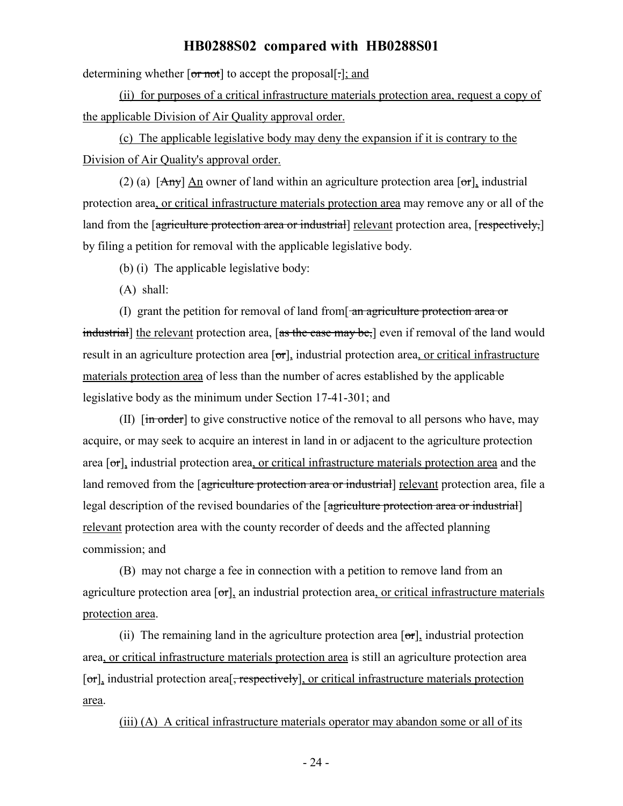determining whether  $\overline{or}$  not to accept the proposal  $\overline{[-]}$ ; and

(ii) for purposes of a critical infrastructure materials protection area, request a copy of the applicable Division of Air Quality approval order.

(c) The applicable legislative body may deny the expansion if it is contrary to the Division of Air Quality's approval order.

(2) (a)  $[Amy]$  An owner of land within an agriculture protection area  $[or]$ , industrial protection area, or critical infrastructure materials protection area may remove any or all of the land from the [agriculture protection area or industrial] relevant protection area, [respectively,] by filing a petition for removal with the applicable legislative body.

(b) (i) The applicable legislative body:

(A) shall:

(I) grant the petition for removal of land from  $\frac{1}{2}$  and  $\frac{1}{2}$  area or industrial] the relevant protection area, [as the case may be,] even if removal of the land would result in an agriculture protection area  $\sigma$ , industrial protection area, or critical infrastructure materials protection area of less than the number of acres established by the applicable legislative body as the minimum under Section 17-41-301; and

(II)  $\left[\frac{1}{10}\right]$  for give constructive notice of the removal to all persons who have, may acquire, or may seek to acquire an interest in land in or adjacent to the agriculture protection area  $[\sigma_{\tau}]$ , industrial protection area, or critical infrastructure materials protection area and the land removed from the [agriculture protection area or industrial] relevant protection area, file a legal description of the revised boundaries of the [agriculture protection area or industrial] relevant protection area with the county recorder of deeds and the affected planning commission; and

(B) may not charge a fee in connection with a petition to remove land from an agriculture protection area [or], an industrial protection area, or critical infrastructure materials protection area.

(ii) The remaining land in the agriculture protection area  $[\sigma\tau]$ , industrial protection area, or critical infrastructure materials protection area is still an agriculture protection area [or], industrial protection area<sup>[</sup>, respectively], or critical infrastructure materials protection area.

(iii) (A) A critical infrastructure materials operator may abandon some or all of its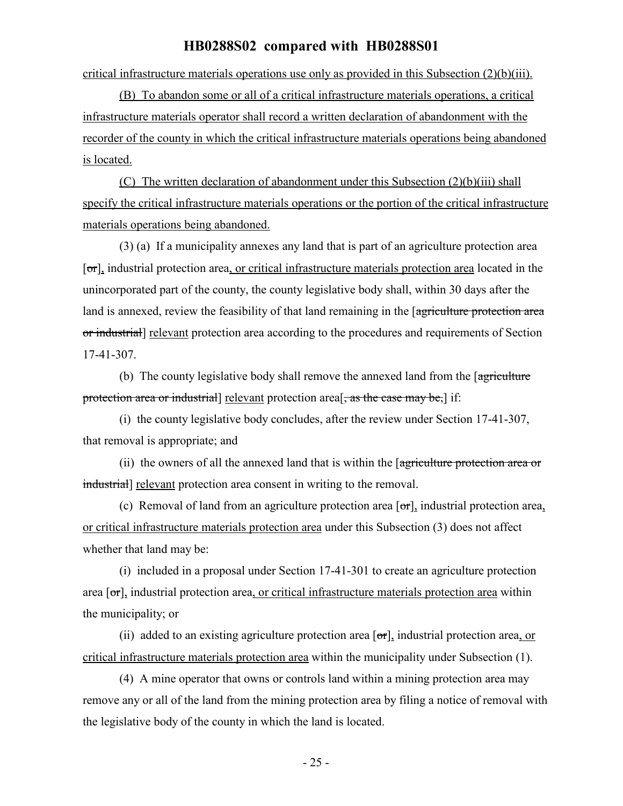critical infrastructure materials operations use only as provided in this Subsection (2)(b)(iii).

(B) To abandon some or all of a critical infrastructure materials operations, a critical infrastructure materials operator shall record a written declaration of abandonment with the recorder of the county in which the critical infrastructure materials operations being abandoned is located.

(C) The written declaration of abandonment under this Subsection (2)(b)(iii) shall specify the critical infrastructure materials operations or the portion of the critical infrastructure materials operations being abandoned.

(3) (a) If a municipality annexes any land that is part of an agriculture protection area [or], industrial protection area, or critical infrastructure materials protection area located in the unincorporated part of the county, the county legislative body shall, within 30 days after the land is annexed, review the feasibility of that land remaining in the [agriculture protection area or industrial] relevant protection area according to the procedures and requirements of Section 17-41-307.

(b) The county legislative body shall remove the annexed land from the [agriculture] protection area or industrial] relevant protection area<sup>[</sup>, as the case may be,] if:

(i) the county legislative body concludes, after the review under Section 17-41-307, that removal is appropriate; and

(ii) the owners of all the annexed land that is within the [agriculture protection area or industrial] relevant protection area consent in writing to the removal.

(c) Removal of land from an agriculture protection area  $[\sigma r]$ , industrial protection area, or critical infrastructure materials protection area under this Subsection (3) does not affect whether that land may be:

(i) included in a proposal under Section 17-41-301 to create an agriculture protection area  $\sigma$ , industrial protection area, or critical infrastructure materials protection area within the municipality; or

(ii) added to an existing agriculture protection area  $\sigma$ , industrial protection area, or critical infrastructure materials protection area within the municipality under Subsection (1).

(4) A mine operator that owns or controls land within a mining protection area may remove any or all of the land from the mining protection area by filing a notice of removal with the legislative body of the county in which the land is located.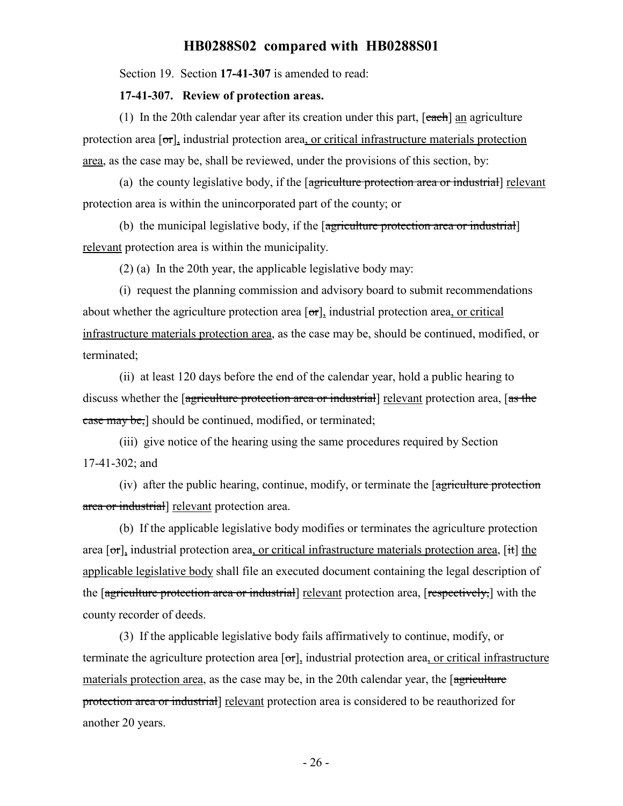Section 19. Section **17-41-307** is amended to read:

#### **17-41-307. Review of protection areas.**

(1) In the 20th calendar year after its creation under this part,  $[each]$  an agriculture protection area  $\sigma$ , industrial protection area, or critical infrastructure materials protection area, as the case may be, shall be reviewed, under the provisions of this section, by:

(a) the county legislative body, if the [agriculture protection area or industrial] relevant protection area is within the unincorporated part of the county; or

(b) the municipal legislative body, if the [agriculture protection area or industrial] relevant protection area is within the municipality.

(2) (a) In the 20th year, the applicable legislative body may:

(i) request the planning commission and advisory board to submit recommendations about whether the agriculture protection area  $[\sigma_{\tau}]$ , industrial protection area, or critical infrastructure materials protection area, as the case may be, should be continued, modified, or terminated;

(ii) at least 120 days before the end of the calendar year, hold a public hearing to discuss whether the [agriculture protection area or industrial] relevant protection area, [as the ease may be,] should be continued, modified, or terminated;

(iii) give notice of the hearing using the same procedures required by Section 17-41-302; and

(iv) after the public hearing, continue, modify, or terminate the [agriculture protection area or industrial] relevant protection area.

(b) If the applicable legislative body modifies or terminates the agriculture protection area  $\sigma$ , industrial protection area, or critical infrastructure materials protection area,  $\sigma$ , it the applicable legislative body shall file an executed document containing the legal description of the [agriculture protection area or industrial] relevant protection area, [respectively,] with the county recorder of deeds.

(3) If the applicable legislative body fails affirmatively to continue, modify, or terminate the agriculture protection area  $[\sigma_{\text{r}}]$ , industrial protection area, or critical infrastructure materials protection area, as the case may be, in the 20th calendar year, the [agriculture] protection area or industrial] relevant protection area is considered to be reauthorized for another 20 years.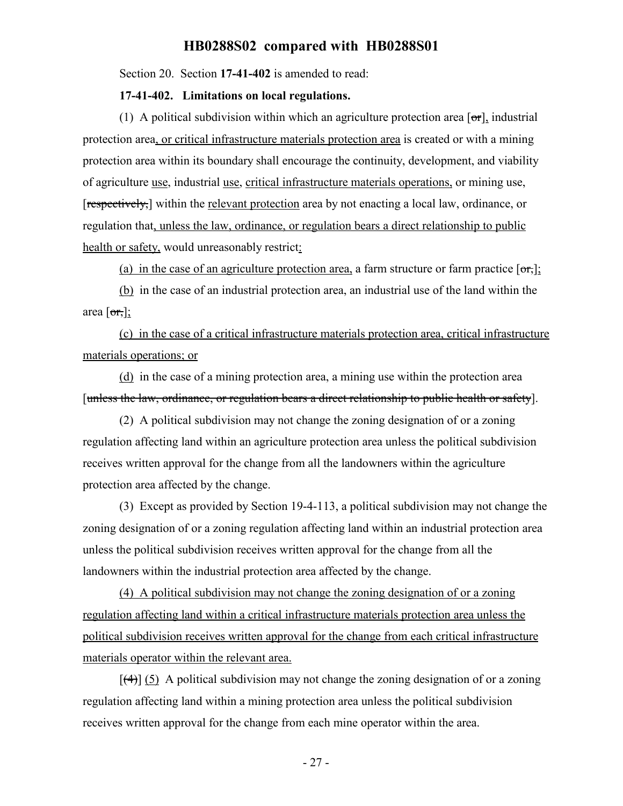Section 20. Section **17-41-402** is amended to read:

#### **17-41-402. Limitations on local regulations.**

(1) A political subdivision within which an agriculture protection area  $[\sigma r]$ , industrial protection area, or critical infrastructure materials protection area is created or with a mining protection area within its boundary shall encourage the continuity, development, and viability of agriculture use, industrial use, critical infrastructure materials operations, or mining use, [respectively,] within the relevant protection area by not enacting a local law, ordinance, or regulation that, unless the law, ordinance, or regulation bears a direct relationship to public health or safety, would unreasonably restrict:

(a) in the case of an agriculture protection area, a farm structure or farm practice  $\lceil \sigma r \rceil$ ;

(b) in the case of an industrial protection area, an industrial use of the land within the area  $[\sigma_{\tau},]$ ;

(c) in the case of a critical infrastructure materials protection area, critical infrastructure materials operations; or

(d) in the case of a mining protection area, a mining use within the protection area [unless the law, ordinance, or regulation bears a direct relationship to public health or safety].

(2) A political subdivision may not change the zoning designation of or a zoning regulation affecting land within an agriculture protection area unless the political subdivision receives written approval for the change from all the landowners within the agriculture protection area affected by the change.

(3) Except as provided by Section 19-4-113, a political subdivision may not change the zoning designation of or a zoning regulation affecting land within an industrial protection area unless the political subdivision receives written approval for the change from all the landowners within the industrial protection area affected by the change.

(4) A political subdivision may not change the zoning designation of or a zoning regulation affecting land within a critical infrastructure materials protection area unless the political subdivision receives written approval for the change from each critical infrastructure materials operator within the relevant area.

 $[$ (4)] (5) A political subdivision may not change the zoning designation of or a zoning regulation affecting land within a mining protection area unless the political subdivision receives written approval for the change from each mine operator within the area.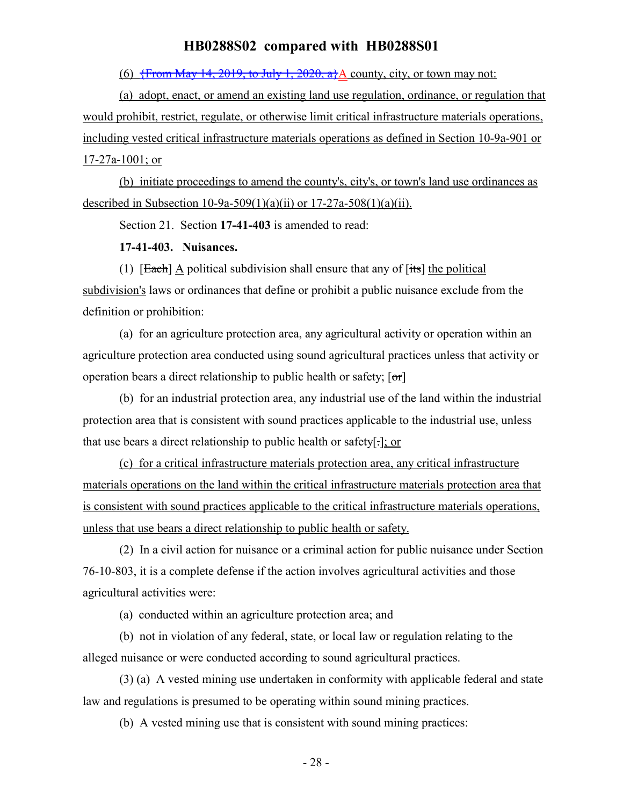(6)  $\frac{1}{2}$  (6)  $\frac{1}{2}$  (6)  $\frac{14}{2019}$ , to July 1, 2020, a<sup>1</sup>/<sub>2</sub> county, city, or town may not:

(a) adopt, enact, or amend an existing land use regulation, ordinance, or regulation that would prohibit, restrict, regulate, or otherwise limit critical infrastructure materials operations, including vested critical infrastructure materials operations as defined in Section 10-9a-901 or 17-27a-1001; or

(b) initiate proceedings to amend the county's, city's, or town's land use ordinances as described in Subsection 10-9a-509(1)(a)(ii) or  $17-27a-508(1)(a)(ii)$ .

Section 21. Section **17-41-403** is amended to read:

**17-41-403. Nuisances.**

(1)  $[Each] \triangle$  political subdivision shall ensure that any of  $[its]$  the political subdivision's laws or ordinances that define or prohibit a public nuisance exclude from the definition or prohibition:

(a) for an agriculture protection area, any agricultural activity or operation within an agriculture protection area conducted using sound agricultural practices unless that activity or operation bears a direct relationship to public health or safety;  $[\sigma r]$ 

(b) for an industrial protection area, any industrial use of the land within the industrial protection area that is consistent with sound practices applicable to the industrial use, unless that use bears a direct relationship to public health or safety[.]; or

(c) for a critical infrastructure materials protection area, any critical infrastructure materials operations on the land within the critical infrastructure materials protection area that is consistent with sound practices applicable to the critical infrastructure materials operations, unless that use bears a direct relationship to public health or safety.

(2) In a civil action for nuisance or a criminal action for public nuisance under Section 76-10-803, it is a complete defense if the action involves agricultural activities and those agricultural activities were:

(a) conducted within an agriculture protection area; and

(b) not in violation of any federal, state, or local law or regulation relating to the alleged nuisance or were conducted according to sound agricultural practices.

(3) (a) A vested mining use undertaken in conformity with applicable federal and state law and regulations is presumed to be operating within sound mining practices.

(b) A vested mining use that is consistent with sound mining practices: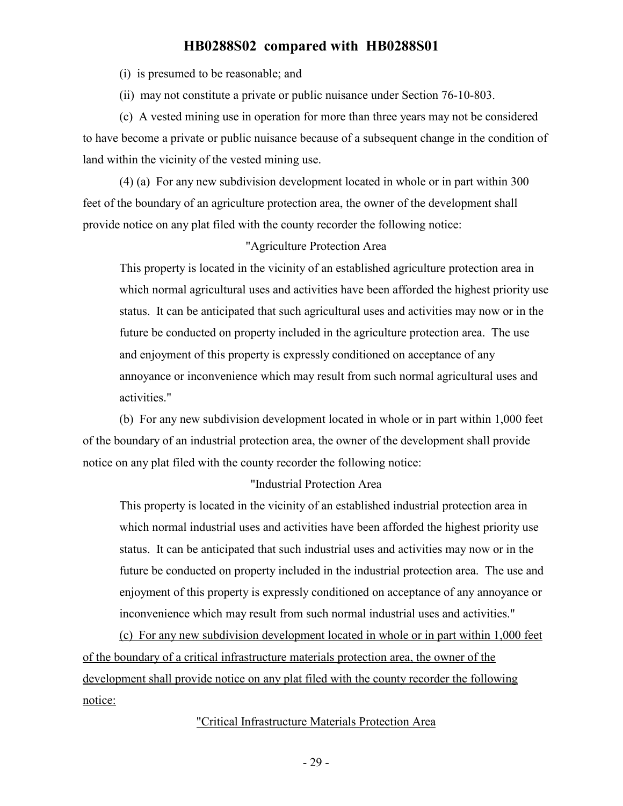(i) is presumed to be reasonable; and

(ii) may not constitute a private or public nuisance under Section 76-10-803.

(c) A vested mining use in operation for more than three years may not be considered to have become a private or public nuisance because of a subsequent change in the condition of land within the vicinity of the vested mining use.

(4) (a) For any new subdivision development located in whole or in part within 300 feet of the boundary of an agriculture protection area, the owner of the development shall provide notice on any plat filed with the county recorder the following notice:

#### "Agriculture Protection Area

This property is located in the vicinity of an established agriculture protection area in which normal agricultural uses and activities have been afforded the highest priority use status. It can be anticipated that such agricultural uses and activities may now or in the future be conducted on property included in the agriculture protection area. The use and enjoyment of this property is expressly conditioned on acceptance of any annoyance or inconvenience which may result from such normal agricultural uses and activities."

(b) For any new subdivision development located in whole or in part within 1,000 feet of the boundary of an industrial protection area, the owner of the development shall provide notice on any plat filed with the county recorder the following notice:

#### "Industrial Protection Area

This property is located in the vicinity of an established industrial protection area in which normal industrial uses and activities have been afforded the highest priority use status. It can be anticipated that such industrial uses and activities may now or in the future be conducted on property included in the industrial protection area. The use and enjoyment of this property is expressly conditioned on acceptance of any annoyance or inconvenience which may result from such normal industrial uses and activities."

(c) For any new subdivision development located in whole or in part within 1,000 feet of the boundary of a critical infrastructure materials protection area, the owner of the development shall provide notice on any plat filed with the county recorder the following notice:

#### "Critical Infrastructure Materials Protection Area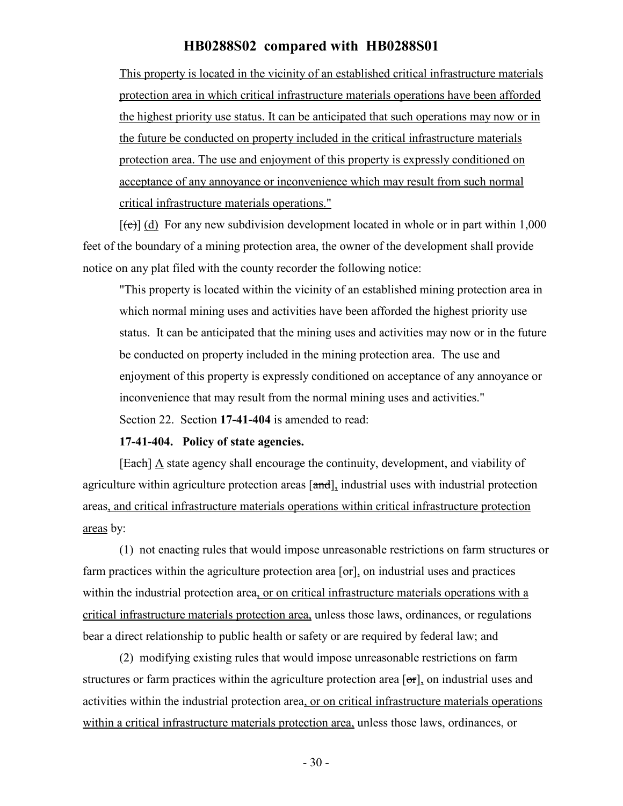This property is located in the vicinity of an established critical infrastructure materials protection area in which critical infrastructure materials operations have been afforded the highest priority use status. It can be anticipated that such operations may now or in the future be conducted on property included in the critical infrastructure materials protection area. The use and enjoyment of this property is expressly conditioned on acceptance of any annoyance or inconvenience which may result from such normal critical infrastructure materials operations."

 $[\text{e}(\text{e})]$  (d) For any new subdivision development located in whole or in part within 1,000 feet of the boundary of a mining protection area, the owner of the development shall provide notice on any plat filed with the county recorder the following notice:

"This property is located within the vicinity of an established mining protection area in which normal mining uses and activities have been afforded the highest priority use status. It can be anticipated that the mining uses and activities may now or in the future be conducted on property included in the mining protection area. The use and enjoyment of this property is expressly conditioned on acceptance of any annoyance or inconvenience that may result from the normal mining uses and activities." Section 22. Section **17-41-404** is amended to read:

#### **17-41-404. Policy of state agencies.**

 $[Each]$   $\triangle$  state agency shall encourage the continuity, development, and viability of agriculture within agriculture protection areas [and], industrial uses with industrial protection areas, and critical infrastructure materials operations within critical infrastructure protection areas by:

(1) not enacting rules that would impose unreasonable restrictions on farm structures or farm practices within the agriculture protection area  $\sigma$ , on industrial uses and practices within the industrial protection area, or on critical infrastructure materials operations with a critical infrastructure materials protection area, unless those laws, ordinances, or regulations bear a direct relationship to public health or safety or are required by federal law; and

(2) modifying existing rules that would impose unreasonable restrictions on farm structures or farm practices within the agriculture protection area  $[\sigma_{\tau}]$ , on industrial uses and activities within the industrial protection area, or on critical infrastructure materials operations within a critical infrastructure materials protection area, unless those laws, ordinances, or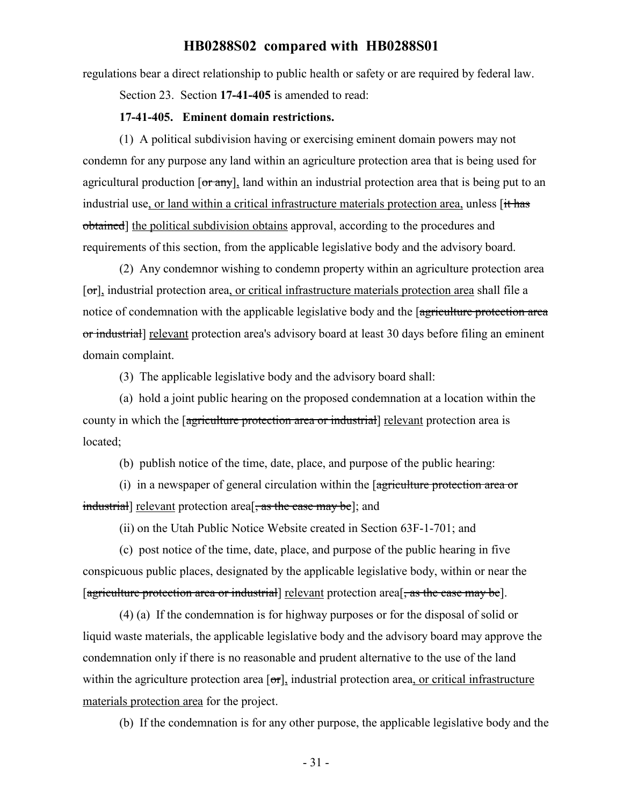regulations bear a direct relationship to public health or safety or are required by federal law.

Section 23. Section **17-41-405** is amended to read:

#### **17-41-405. Eminent domain restrictions.**

(1) A political subdivision having or exercising eminent domain powers may not condemn for any purpose any land within an agriculture protection area that is being used for agricultural production  $\sigma$   $\pi$   $\gamma$ , land within an industrial protection area that is being put to an industrial use, or land within a critical infrastructure materials protection area, unless [it has obtained] the political subdivision obtains approval, according to the procedures and requirements of this section, from the applicable legislative body and the advisory board.

(2) Any condemnor wishing to condemn property within an agriculture protection area  $[\sigma_{\tau}]$ , industrial protection area, or critical infrastructure materials protection area shall file a notice of condemnation with the applicable legislative body and the [agriculture protection area or industrial] relevant protection area's advisory board at least 30 days before filing an eminent domain complaint.

(3) The applicable legislative body and the advisory board shall:

(a) hold a joint public hearing on the proposed condemnation at a location within the county in which the [agriculture protection area or industrial] relevant protection area is located;

(b) publish notice of the time, date, place, and purpose of the public hearing:

(i) in a newspaper of general circulation within the [agriculture protection area or industrial] relevant protection area<sup>[</sup>, as the case may be]; and

(ii) on the Utah Public Notice Website created in Section 63F-1-701; and

(c) post notice of the time, date, place, and purpose of the public hearing in five conspicuous public places, designated by the applicable legislative body, within or near the [agriculture protection area or industrial] relevant protection area<sup>[ $\frac{1}{x}$ </sup> as the case may be].

(4) (a) If the condemnation is for highway purposes or for the disposal of solid or liquid waste materials, the applicable legislative body and the advisory board may approve the condemnation only if there is no reasonable and prudent alternative to the use of the land within the agriculture protection area  $[\sigma\tau]$ , industrial protection area, or critical infrastructure materials protection area for the project.

(b) If the condemnation is for any other purpose, the applicable legislative body and the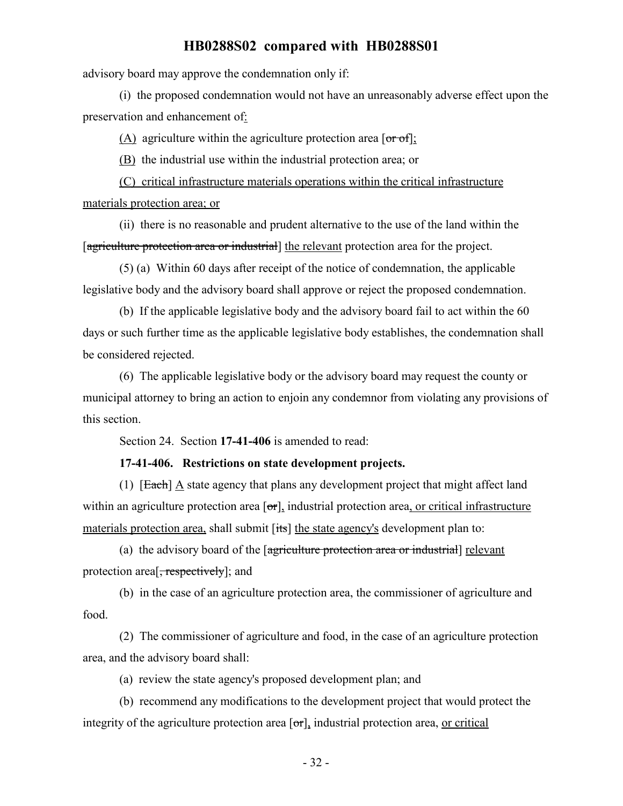advisory board may approve the condemnation only if:

(i) the proposed condemnation would not have an unreasonably adverse effect upon the preservation and enhancement of:

 $(A)$  agriculture within the agriculture protection area  $\sigma f$ :

(B) the industrial use within the industrial protection area; or

(C) critical infrastructure materials operations within the critical infrastructure materials protection area; or

(ii) there is no reasonable and prudent alternative to the use of the land within the [agriculture protection area or industrial] the relevant protection area for the project.

(5) (a) Within 60 days after receipt of the notice of condemnation, the applicable legislative body and the advisory board shall approve or reject the proposed condemnation.

(b) If the applicable legislative body and the advisory board fail to act within the 60 days or such further time as the applicable legislative body establishes, the condemnation shall be considered rejected.

(6) The applicable legislative body or the advisory board may request the county or municipal attorney to bring an action to enjoin any condemnor from violating any provisions of this section.

Section 24. Section **17-41-406** is amended to read:

#### **17-41-406. Restrictions on state development projects.**

(1) [Each] A state agency that plans any development project that might affect land within an agriculture protection area  $\sigma$ , industrial protection area, or critical infrastructure materials protection area, shall submit [its] the state agency's development plan to:

(a) the advisory board of the [agriculture protection area or industrial] relevant protection area<sup>[, respectively]</sup>; and

(b) in the case of an agriculture protection area, the commissioner of agriculture and food.

(2) The commissioner of agriculture and food, in the case of an agriculture protection area, and the advisory board shall:

(a) review the state agency's proposed development plan; and

(b) recommend any modifications to the development project that would protect the integrity of the agriculture protection area  $[\sigma_{\tau}]$ , industrial protection area, or critical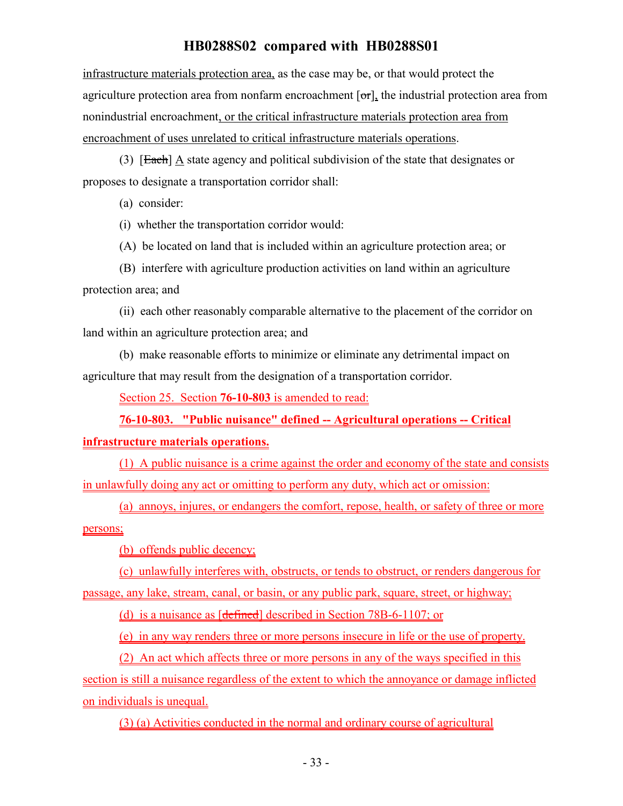infrastructure materials protection area, as the case may be, or that would protect the agriculture protection area from nonfarm encroachment  $[\sigma_{\tau}]$ , the industrial protection area from nonindustrial encroachment, or the critical infrastructure materials protection area from encroachment of uses unrelated to critical infrastructure materials operations.

(3) [Each] A state agency and political subdivision of the state that designates or proposes to designate a transportation corridor shall:

(a) consider:

(i) whether the transportation corridor would:

(A) be located on land that is included within an agriculture protection area; or

(B) interfere with agriculture production activities on land within an agriculture protection area; and

(ii) each other reasonably comparable alternative to the placement of the corridor on land within an agriculture protection area; and

(b) make reasonable efforts to minimize or eliminate any detrimental impact on agriculture that may result from the designation of a transportation corridor.

Section 25. Section **76-10-803** is amended to read:

**76-10-803. "Public nuisance" defined -- Agricultural operations -- Critical**

#### **infrastructure materials operations.**

(1) A public nuisance is a crime against the order and economy of the state and consists in unlawfully doing any act or omitting to perform any duty, which act or omission:

(a) annoys, injures, or endangers the comfort, repose, health, or safety of three or more persons;

(b) offends public decency;

(c) unlawfully interferes with, obstructs, or tends to obstruct, or renders dangerous for passage, any lake, stream, canal, or basin, or any public park, square, street, or highway;

(d) is a nuisance as [defined] described in Section 78B-6-1107; or

(e) in any way renders three or more persons insecure in life or the use of property.

(2) An act which affects three or more persons in any of the ways specified in this

section is still a nuisance regardless of the extent to which the annoyance or damage inflicted on individuals is unequal.

(3) (a) Activities conducted in the normal and ordinary course of agricultural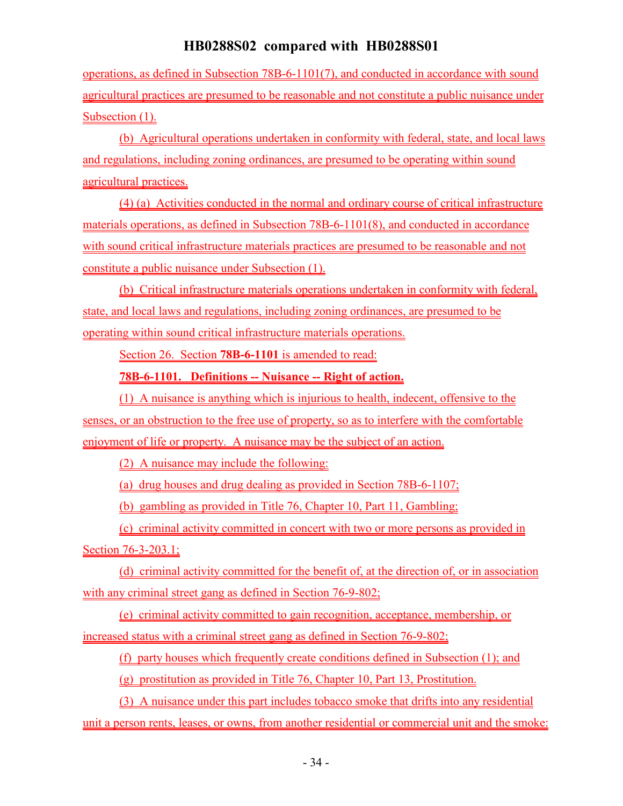operations, as defined in Subsection 78B-6-1101(7), and conducted in accordance with sound agricultural practices are presumed to be reasonable and not constitute a public nuisance under Subsection (1).

(b) Agricultural operations undertaken in conformity with federal, state, and local laws and regulations, including zoning ordinances, are presumed to be operating within sound agricultural practices.

(4) (a) Activities conducted in the normal and ordinary course of critical infrastructure materials operations, as defined in Subsection 78B-6-1101(8), and conducted in accordance with sound critical infrastructure materials practices are presumed to be reasonable and not constitute a public nuisance under Subsection (1).

(b) Critical infrastructure materials operations undertaken in conformity with federal, state, and local laws and regulations, including zoning ordinances, are presumed to be operating within sound critical infrastructure materials operations.

Section 26. Section **78B-6-1101** is amended to read:

## **78B-6-1101. Definitions -- Nuisance -- Right of action.**

(1) A nuisance is anything which is injurious to health, indecent, offensive to the senses, or an obstruction to the free use of property, so as to interfere with the comfortable enjoyment of life or property. A nuisance may be the subject of an action.

(2) A nuisance may include the following:

(a) drug houses and drug dealing as provided in Section 78B-6-1107;

(b) gambling as provided in Title 76, Chapter 10, Part 11, Gambling;

(c) criminal activity committed in concert with two or more persons as provided in Section 76-3-203.1;

(d) criminal activity committed for the benefit of, at the direction of, or in association with any criminal street gang as defined in Section 76-9-802;

(e) criminal activity committed to gain recognition, acceptance, membership, or increased status with a criminal street gang as defined in Section 76-9-802;

(f) party houses which frequently create conditions defined in Subsection (1); and

(g) prostitution as provided in Title 76, Chapter 10, Part 13, Prostitution.

(3) A nuisance under this part includes tobacco smoke that drifts into any residential unit a person rents, leases, or owns, from another residential or commercial unit and the smoke: